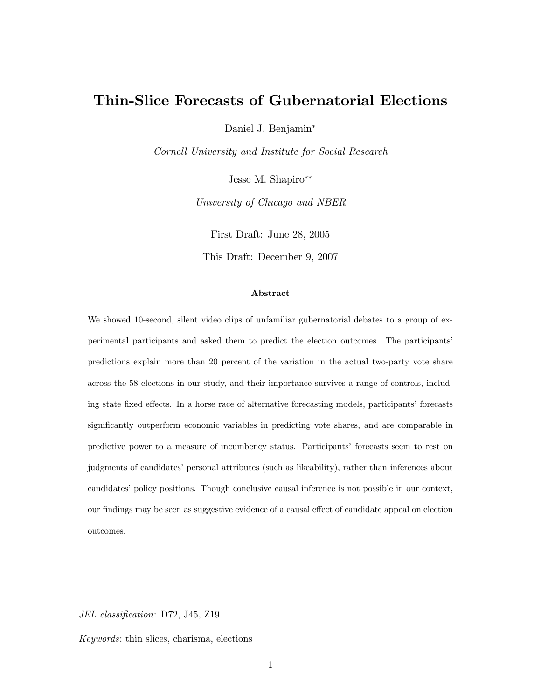# Thin-Slice Forecasts of Gubernatorial Elections

Daniel J. Benjamin

Cornell University and Institute for Social Research

Jesse M. Shapiro

University of Chicago and NBER

First Draft: June 28, 2005

This Draft: December 9, 2007

#### Abstract

We showed 10-second, silent video clips of unfamiliar gubernatorial debates to a group of experimental participants and asked them to predict the election outcomes. The participants' predictions explain more than 20 percent of the variation in the actual two-party vote share across the 58 elections in our study, and their importance survives a range of controls, including state fixed effects. In a horse race of alternative forecasting models, participants' forecasts significantly outperform economic variables in predicting vote shares, and are comparable in predictive power to a measure of incumbency status. Participantsí forecasts seem to rest on judgments of candidates' personal attributes (such as likeability), rather than inferences about candidates' policy positions. Though conclusive causal inference is not possible in our context, our findings may be seen as suggestive evidence of a causal effect of candidate appeal on election outcomes.

JEL classification: D72, J45, Z19

Keywords: thin slices, charisma, elections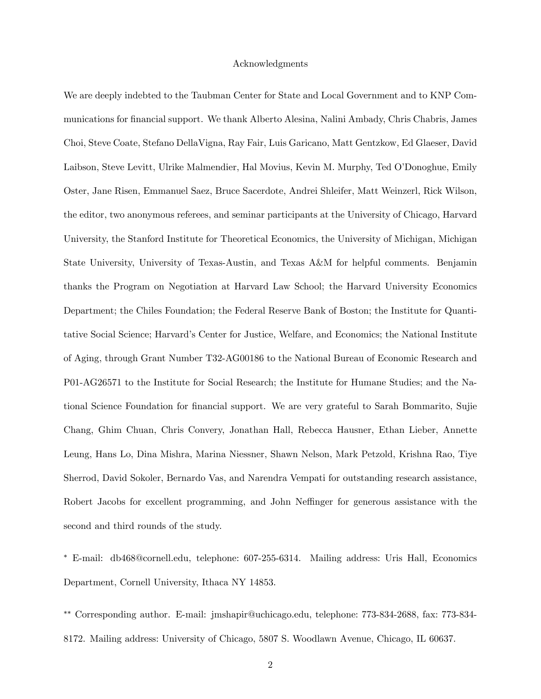## Acknowledgments

We are deeply indebted to the Taubman Center for State and Local Government and to KNP Communications for financial support. We thank Alberto Alesina, Nalini Ambady, Chris Chabris, James Choi, Steve Coate, Stefano DellaVigna, Ray Fair, Luis Garicano, Matt Gentzkow, Ed Glaeser, David Laibson, Steve Levitt, Ulrike Malmendier, Hal Movius, Kevin M. Murphy, Ted OíDonoghue, Emily Oster, Jane Risen, Emmanuel Saez, Bruce Sacerdote, Andrei Shleifer, Matt Weinzerl, Rick Wilson, the editor, two anonymous referees, and seminar participants at the University of Chicago, Harvard University, the Stanford Institute for Theoretical Economics, the University of Michigan, Michigan State University, University of Texas-Austin, and Texas A&M for helpful comments. Benjamin thanks the Program on Negotiation at Harvard Law School; the Harvard University Economics Department; the Chiles Foundation; the Federal Reserve Bank of Boston; the Institute for Quantitative Social Science; Harvardís Center for Justice, Welfare, and Economics; the National Institute of Aging, through Grant Number T32-AG00186 to the National Bureau of Economic Research and P01-AG26571 to the Institute for Social Research; the Institute for Humane Studies; and the National Science Foundation for financial support. We are very grateful to Sarah Bommarito, Sujie Chang, Ghim Chuan, Chris Convery, Jonathan Hall, Rebecca Hausner, Ethan Lieber, Annette Leung, Hans Lo, Dina Mishra, Marina Niessner, Shawn Nelson, Mark Petzold, Krishna Rao, Tiye Sherrod, David Sokoler, Bernardo Vas, and Narendra Vempati for outstanding research assistance, Robert Jacobs for excellent programming, and John Neffinger for generous assistance with the second and third rounds of the study.

 E-mail: db468@cornell.edu, telephone: 607-255-6314. Mailing address: Uris Hall, Economics Department, Cornell University, Ithaca NY 14853.

 Corresponding author. E-mail: jmshapir@uchicago.edu, telephone: 773-834-2688, fax: 773-834- 8172. Mailing address: University of Chicago, 5807 S. Woodlawn Avenue, Chicago, IL 60637.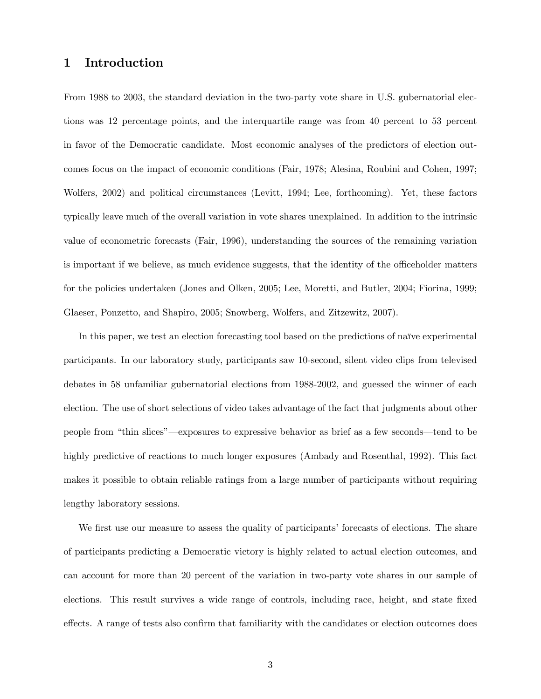# 1 Introduction

From 1988 to 2003, the standard deviation in the two-party vote share in U.S. gubernatorial elections was 12 percentage points, and the interquartile range was from 40 percent to 53 percent in favor of the Democratic candidate. Most economic analyses of the predictors of election outcomes focus on the impact of economic conditions (Fair, 1978; Alesina, Roubini and Cohen, 1997; Wolfers, 2002) and political circumstances (Levitt, 1994; Lee, forthcoming). Yet, these factors typically leave much of the overall variation in vote shares unexplained. In addition to the intrinsic value of econometric forecasts (Fair, 1996), understanding the sources of the remaining variation is important if we believe, as much evidence suggests, that the identity of the officeholder matters for the policies undertaken (Jones and Olken, 2005; Lee, Moretti, and Butler, 2004; Fiorina, 1999; Glaeser, Ponzetto, and Shapiro, 2005; Snowberg, Wolfers, and Zitzewitz, 2007).

In this paper, we test an election forecasting tool based on the predictions of naïve experimental participants. In our laboratory study, participants saw 10-second, silent video clips from televised debates in 58 unfamiliar gubernatorial elections from 1988-2002, and guessed the winner of each election. The use of short selections of video takes advantage of the fact that judgments about other people from "thin slices"—exposures to expressive behavior as brief as a few seconds—tend to be highly predictive of reactions to much longer exposures (Ambady and Rosenthal, 1992). This fact makes it possible to obtain reliable ratings from a large number of participants without requiring lengthy laboratory sessions.

We first use our measure to assess the quality of participants' forecasts of elections. The share of participants predicting a Democratic victory is highly related to actual election outcomes, and can account for more than 20 percent of the variation in two-party vote shares in our sample of elections. This result survives a wide range of controls, including race, height, and state fixed effects. A range of tests also confirm that familiarity with the candidates or election outcomes does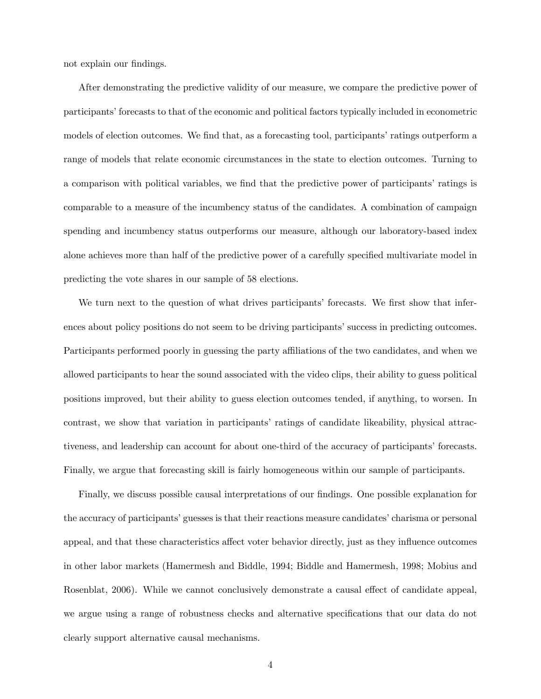not explain our findings.

After demonstrating the predictive validity of our measure, we compare the predictive power of participants' forecasts to that of the economic and political factors typically included in econometric models of election outcomes. We find that, as a forecasting tool, participants' ratings outperform a range of models that relate economic circumstances in the state to election outcomes. Turning to a comparison with political variables, we find that the predictive power of participants' ratings is comparable to a measure of the incumbency status of the candidates. A combination of campaign spending and incumbency status outperforms our measure, although our laboratory-based index alone achieves more than half of the predictive power of a carefully specified multivariate model in predicting the vote shares in our sample of 58 elections.

We turn next to the question of what drives participants' forecasts. We first show that inferences about policy positions do not seem to be driving participants' success in predicting outcomes. Participants performed poorly in guessing the party affiliations of the two candidates, and when we allowed participants to hear the sound associated with the video clips, their ability to guess political positions improved, but their ability to guess election outcomes tended, if anything, to worsen. In contrast, we show that variation in participantsí ratings of candidate likeability, physical attractiveness, and leadership can account for about one-third of the accuracy of participants' forecasts. Finally, we argue that forecasting skill is fairly homogeneous within our sample of participants.

Finally, we discuss possible causal interpretations of our findings. One possible explanation for the accuracy of participants' guesses is that their reactions measure candidates' charisma or personal appeal, and that these characteristics affect voter behavior directly, just as they influence outcomes in other labor markets (Hamermesh and Biddle, 1994; Biddle and Hamermesh, 1998; Mobius and Rosenblat, 2006). While we cannot conclusively demonstrate a causal effect of candidate appeal, we argue using a range of robustness checks and alternative specifications that our data do not clearly support alternative causal mechanisms.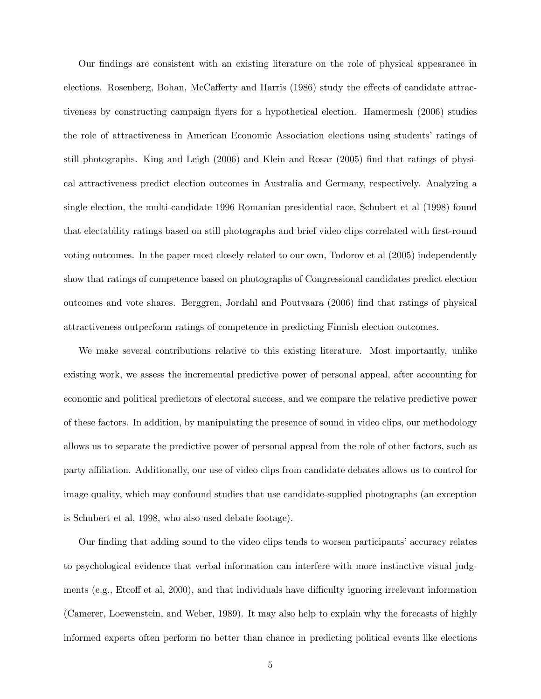Our Öndings are consistent with an existing literature on the role of physical appearance in elections. Rosenberg, Bohan, McCafferty and Harris (1986) study the effects of candidate attractiveness by constructing campaign flyers for a hypothetical election. Hamermesh (2006) studies the role of attractiveness in American Economic Association elections using studentsí ratings of still photographs. King and Leigh (2006) and Klein and Rosar (2005) find that ratings of physical attractiveness predict election outcomes in Australia and Germany, respectively. Analyzing a single election, the multi-candidate 1996 Romanian presidential race, Schubert et al (1998) found that electability ratings based on still photographs and brief video clips correlated with first-round voting outcomes. In the paper most closely related to our own, Todorov et al (2005) independently show that ratings of competence based on photographs of Congressional candidates predict election outcomes and vote shares. Berggren, Jordahl and Poutvaara (2006) Önd that ratings of physical attractiveness outperform ratings of competence in predicting Finnish election outcomes.

We make several contributions relative to this existing literature. Most importantly, unlike existing work, we assess the incremental predictive power of personal appeal, after accounting for economic and political predictors of electoral success, and we compare the relative predictive power of these factors. In addition, by manipulating the presence of sound in video clips, our methodology allows us to separate the predictive power of personal appeal from the role of other factors, such as party affiliation. Additionally, our use of video clips from candidate debates allows us to control for image quality, which may confound studies that use candidate-supplied photographs (an exception is Schubert et al, 1998, who also used debate footage).

Our finding that adding sound to the video clips tends to worsen participants' accuracy relates to psychological evidence that verbal information can interfere with more instinctive visual judgments (e.g., Etcoff et al, 2000), and that individuals have difficulty ignoring irrelevant information (Camerer, Loewenstein, and Weber, 1989). It may also help to explain why the forecasts of highly informed experts often perform no better than chance in predicting political events like elections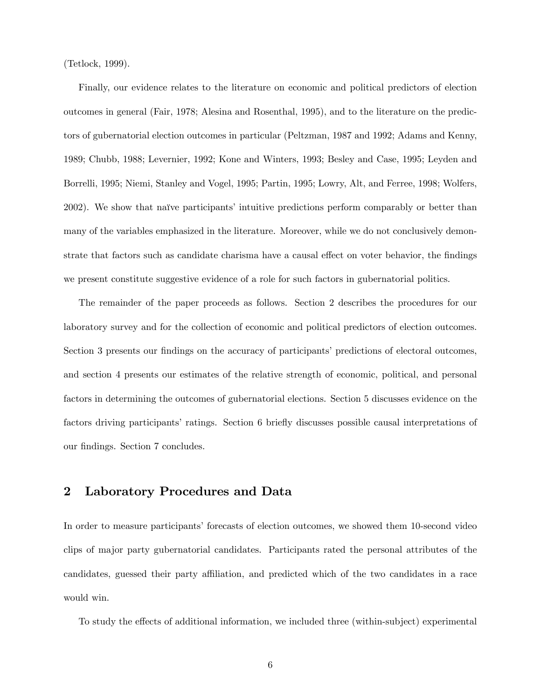(Tetlock, 1999).

Finally, our evidence relates to the literature on economic and political predictors of election outcomes in general (Fair, 1978; Alesina and Rosenthal, 1995), and to the literature on the predictors of gubernatorial election outcomes in particular (Peltzman, 1987 and 1992; Adams and Kenny, 1989; Chubb, 1988; Levernier, 1992; Kone and Winters, 1993; Besley and Case, 1995; Leyden and Borrelli, 1995; Niemi, Stanley and Vogel, 1995; Partin, 1995; Lowry, Alt, and Ferree, 1998; Wolfers, 2002). We show that naïve participants' intuitive predictions perform comparably or better than many of the variables emphasized in the literature. Moreover, while we do not conclusively demonstrate that factors such as candidate charisma have a causal effect on voter behavior, the findings we present constitute suggestive evidence of a role for such factors in gubernatorial politics.

The remainder of the paper proceeds as follows. Section 2 describes the procedures for our laboratory survey and for the collection of economic and political predictors of election outcomes. Section 3 presents our findings on the accuracy of participants' predictions of electoral outcomes, and section 4 presents our estimates of the relative strength of economic, political, and personal factors in determining the outcomes of gubernatorial elections. Section 5 discusses evidence on the factors driving participants' ratings. Section 6 briefly discusses possible causal interpretations of our findings. Section 7 concludes.

# 2 Laboratory Procedures and Data

In order to measure participants' forecasts of election outcomes, we showed them 10-second video clips of major party gubernatorial candidates. Participants rated the personal attributes of the candidates, guessed their party affiliation, and predicted which of the two candidates in a race would win.

To study the effects of additional information, we included three (within-subject) experimental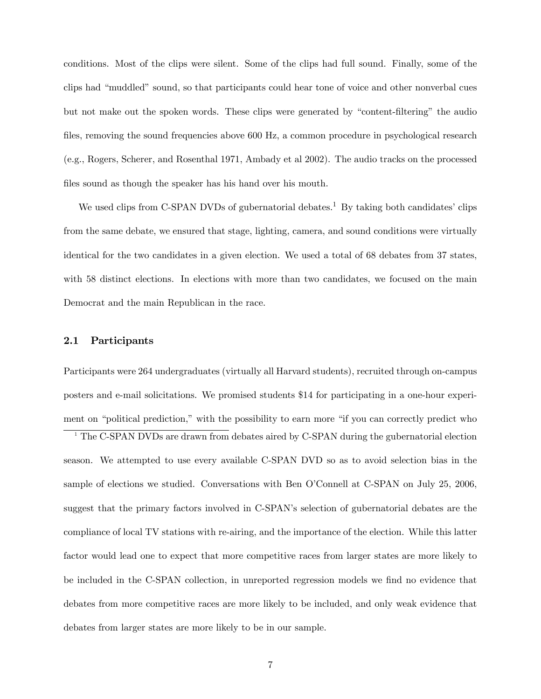conditions. Most of the clips were silent. Some of the clips had full sound. Finally, some of the clips had "muddled" sound, so that participants could hear tone of voice and other nonverbal cues but not make out the spoken words. These clips were generated by "content-filtering" the audio files, removing the sound frequencies above 600 Hz, a common procedure in psychological research (e.g., Rogers, Scherer, and Rosenthal 1971, Ambady et al 2002). The audio tracks on the processed files sound as though the speaker has his hand over his mouth.

We used clips from C-SPAN DVDs of gubernatorial debates.<sup>1</sup> By taking both candidates' clips from the same debate, we ensured that stage, lighting, camera, and sound conditions were virtually identical for the two candidates in a given election. We used a total of 68 debates from 37 states, with 58 distinct elections. In elections with more than two candidates, we focused on the main Democrat and the main Republican in the race.

### 2.1 Participants

Participants were 264 undergraduates (virtually all Harvard students), recruited through on-campus posters and e-mail solicitations. We promised students \$14 for participating in a one-hour experiment on "political prediction," with the possibility to earn more "if you can correctly predict who

<sup>1</sup> The C-SPAN DVDs are drawn from debates aired by C-SPAN during the gubernatorial election season. We attempted to use every available C-SPAN DVD so as to avoid selection bias in the sample of elections we studied. Conversations with Ben O'Connell at C-SPAN on July 25, 2006, suggest that the primary factors involved in C-SPAN's selection of gubernatorial debates are the compliance of local TV stations with re-airing, and the importance of the election. While this latter factor would lead one to expect that more competitive races from larger states are more likely to be included in the C-SPAN collection, in unreported regression models we find no evidence that debates from more competitive races are more likely to be included, and only weak evidence that debates from larger states are more likely to be in our sample.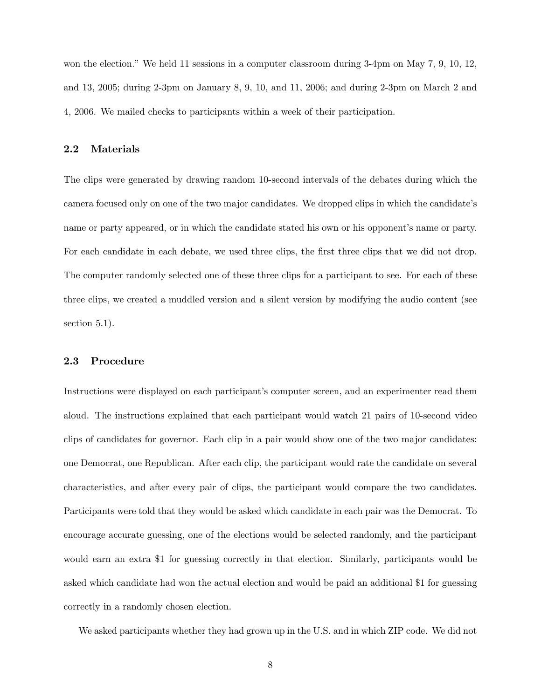won the election." We held 11 sessions in a computer classroom during  $3-4\text{pm}$  on May 7, 9, 10, 12, and 13, 2005; during 2-3pm on January 8, 9, 10, and 11, 2006; and during 2-3pm on March 2 and 4, 2006. We mailed checks to participants within a week of their participation.

#### 2.2 Materials

The clips were generated by drawing random 10-second intervals of the debates during which the camera focused only on one of the two major candidates. We dropped clips in which the candidate's name or party appeared, or in which the candidate stated his own or his opponent's name or party. For each candidate in each debate, we used three clips, the first three clips that we did not drop. The computer randomly selected one of these three clips for a participant to see. For each of these three clips, we created a muddled version and a silent version by modifying the audio content (see section 5.1).

### 2.3 Procedure

Instructions were displayed on each participant's computer screen, and an experimenter read them aloud. The instructions explained that each participant would watch 21 pairs of 10-second video clips of candidates for governor. Each clip in a pair would show one of the two major candidates: one Democrat, one Republican. After each clip, the participant would rate the candidate on several characteristics, and after every pair of clips, the participant would compare the two candidates. Participants were told that they would be asked which candidate in each pair was the Democrat. To encourage accurate guessing, one of the elections would be selected randomly, and the participant would earn an extra \$1 for guessing correctly in that election. Similarly, participants would be asked which candidate had won the actual election and would be paid an additional \$1 for guessing correctly in a randomly chosen election.

We asked participants whether they had grown up in the U.S. and in which ZIP code. We did not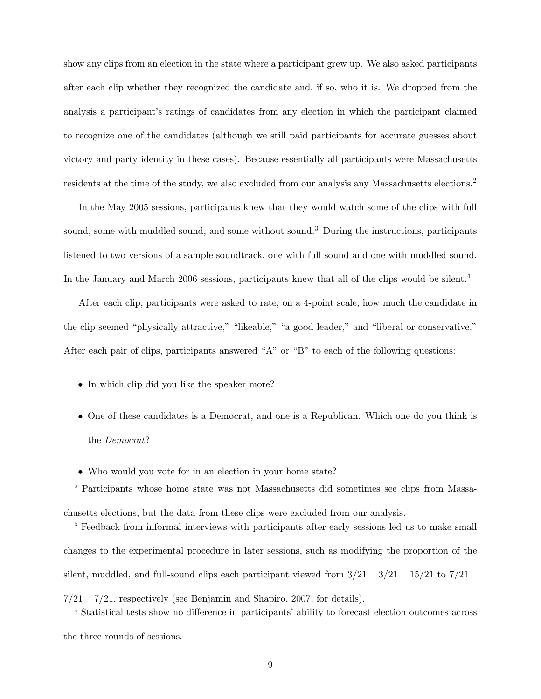show any clips from an election in the state where a participant grew up. We also asked participants after each clip whether they recognized the candidate and, if so, who it is. We dropped from the analysis a participant's ratings of candidates from any election in which the participant claimed to recognize one of the candidates (although we still paid participants for accurate guesses about victory and party identity in these cases). Because essentially all participants were Massachusetts residents at the time of the study, we also excluded from our analysis any Massachusetts elections.<sup>2</sup>

In the May 2005 sessions, participants knew that they would watch some of the clips with full sound, some with muddled sound, and some without sound.<sup>3</sup> During the instructions, participants listened to two versions of a sample soundtrack, one with full sound and one with muddled sound. In the January and March 2006 sessions, participants knew that all of the clips would be silent.<sup>4</sup>

After each clip, participants were asked to rate, on a 4-point scale, how much the candidate in the clip seemed "physically attractive," "likeable," "a good leader," and "liberal or conservative." After each pair of clips, participants answered  $A''$  or  $B''$  to each of the following questions:

- In which clip did you like the speaker more?
- One of these candidates is a Democrat, and one is a Republican. Which one do you think is the Democrat?
- Who would you vote for in an election in your home state?

<sup>2</sup> Participants whose home state was not Massachusetts did sometimes see clips from Massa-

chusetts elections, but the data from these clips were excluded from our analysis.

<sup>3</sup> Feedback from informal interviews with participants after early sessions led us to make small changes to the experimental procedure in later sessions, such as modifying the proportion of the silent, muddled, and full-sound clips each participant viewed from  $3/21 - 3/21 - 15/21$  to  $7/21$  $7/21 - 7/21$ , respectively (see Benjamin and Shapiro, 2007, for details).

<sup>4</sup> Statistical tests show no difference in participants' ability to forecast election outcomes across the three rounds of sessions.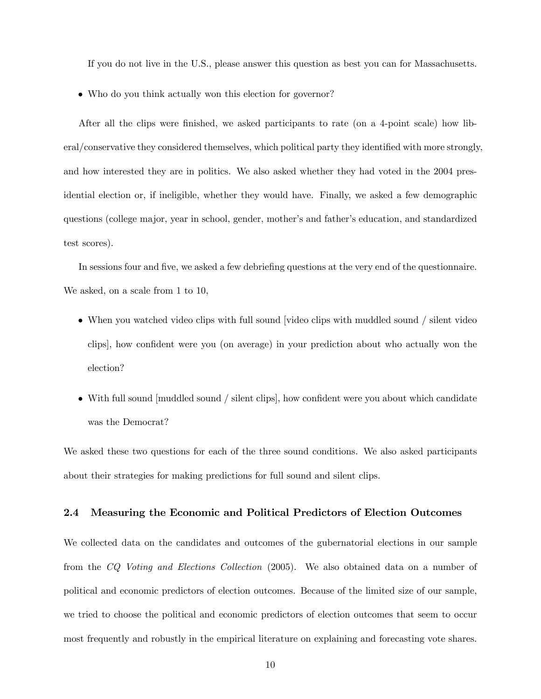If you do not live in the U.S., please answer this question as best you can for Massachusetts.

Who do you think actually won this election for governor?

After all the clips were finished, we asked participants to rate (on a 4-point scale) how liberal/conservative they considered themselves, which political party they identified with more strongly, and how interested they are in politics. We also asked whether they had voted in the 2004 presidential election or, if ineligible, whether they would have. Finally, we asked a few demographic questions (college major, year in school, gender, mother's and father's education, and standardized test scores).

In sessions four and five, we asked a few debriefing questions at the very end of the questionnaire. We asked, on a scale from 1 to 10,

- When you watched video clips with full sound [video clips with muddled sound / silent video clips], how confident were you (on average) in your prediction about who actually won the election?
- $\bullet$  With full sound [muddled sound / silent clips], how confident were you about which candidate was the Democrat?

We asked these two questions for each of the three sound conditions. We also asked participants about their strategies for making predictions for full sound and silent clips.

## 2.4 Measuring the Economic and Political Predictors of Election Outcomes

We collected data on the candidates and outcomes of the gubernatorial elections in our sample from the CQ Voting and Elections Collection (2005). We also obtained data on a number of political and economic predictors of election outcomes. Because of the limited size of our sample, we tried to choose the political and economic predictors of election outcomes that seem to occur most frequently and robustly in the empirical literature on explaining and forecasting vote shares.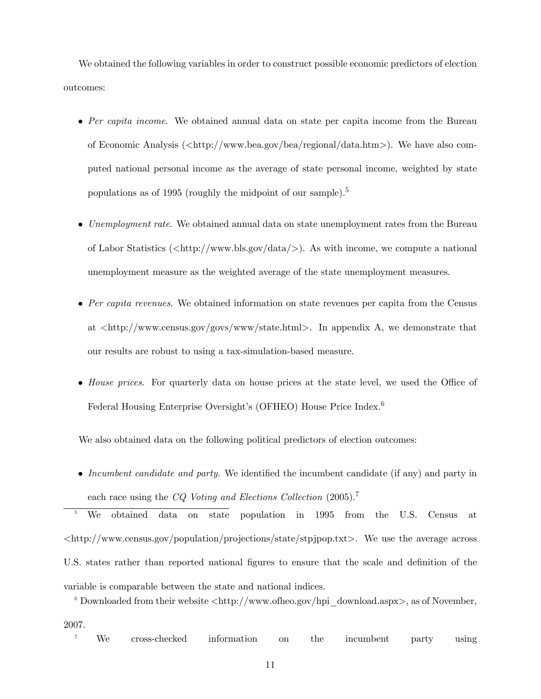We obtained the following variables in order to construct possible economic predictors of election outcomes:

- Per capita income. We obtained annual data on state per capita income from the Bureau of Economic Analysis (<http://www.bea.gov/bea/regional/data.htm>). We have also computed national personal income as the average of state personal income, weighted by state populations as of 1995 (roughly the midpoint of our sample).<sup>5</sup>
- $\bullet$  *Unemployment rate.* We obtained annual data on state unemployment rates from the Bureau of Labor Statistics ( $\langle \text{http://www.bls.gov/data/>)}$ ). As with income, we compute a national unemployment measure as the weighted average of the state unemployment measures.
- $\bullet$  Per capita revenues. We obtained information on state revenues per capita from the Census at  $\langle \text{http://www.census.gov/govs/www/state.html}\rangle$ . In appendix A, we demonstrate that our results are robust to using a tax-simulation-based measure.
- $\bullet$  House prices. For quarterly data on house prices at the state level, we used the Office of Federal Housing Enterprise Oversight's (OFHEO) House Price Index.<sup>6</sup>

We also obtained data on the following political predictors of election outcomes:

• Incumbent candidate and party. We identified the incumbent candidate (if any) and party in each race using the CQ Voting and Elections Collection (2005).<sup>7</sup>

<sup>5</sup> We obtained data on state population in 1995 from the U.S. Census at  $\langle \text{http://www.census.gov/population/projects/state/stpippop.txt}.$  We use the average across U.S. states rather than reported national figures to ensure that the scale and definition of the variable is comparable between the state and national indices.

 $6$  Downloaded from their website  $\langle \text{http://www.ofheo.gov/hpi-download.aspx>}, \text{as of November},$ 2007.

<sup>7</sup> We cross-checked information on the incumbent party using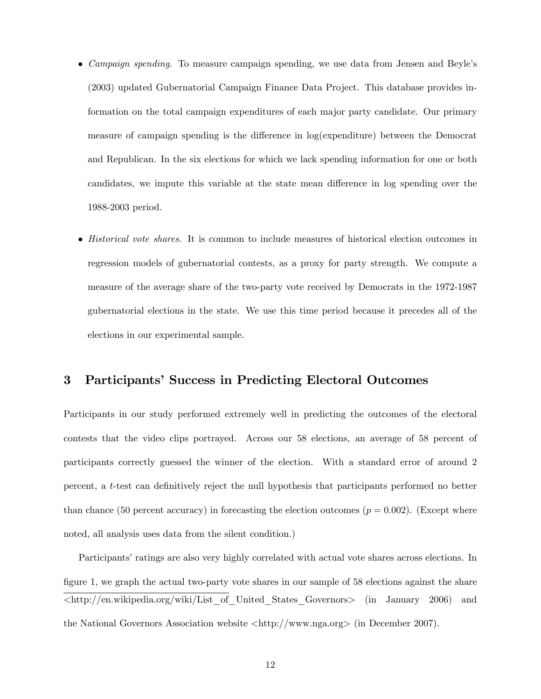- *Campaign spending.* To measure campaign spending, we use data from Jensen and Beyle's (2003) updated Gubernatorial Campaign Finance Data Project. This database provides information on the total campaign expenditures of each major party candidate. Our primary measure of campaign spending is the difference in log(expenditure) between the Democrat and Republican. In the six elections for which we lack spending information for one or both candidates, we impute this variable at the state mean difference in log spending over the 1988-2003 period.
- *Historical vote shares.* It is common to include measures of historical election outcomes in regression models of gubernatorial contests, as a proxy for party strength. We compute a measure of the average share of the two-party vote received by Democrats in the 1972-1987 gubernatorial elections in the state. We use this time period because it precedes all of the elections in our experimental sample.

# 3 Participants' Success in Predicting Electoral Outcomes

Participants in our study performed extremely well in predicting the outcomes of the electoral contests that the video clips portrayed. Across our 58 elections, an average of 58 percent of participants correctly guessed the winner of the election. With a standard error of around 2 percent, a t-test can deÖnitively reject the null hypothesis that participants performed no better than chance (50 percent accuracy) in forecasting the election outcomes ( $p = 0.002$ ). (Except where noted, all analysis uses data from the silent condition.)

Participants' ratings are also very highly correlated with actual vote shares across elections. In figure 1, we graph the actual two-party vote shares in our sample of 58 elections against the share <http://en.wikipedia.org/wiki/List\_of\_United\_States\_Governors> (in January 2006) and the National Governors Association website  $\langle \text{http://www.nga.org> (in December 2007)}.$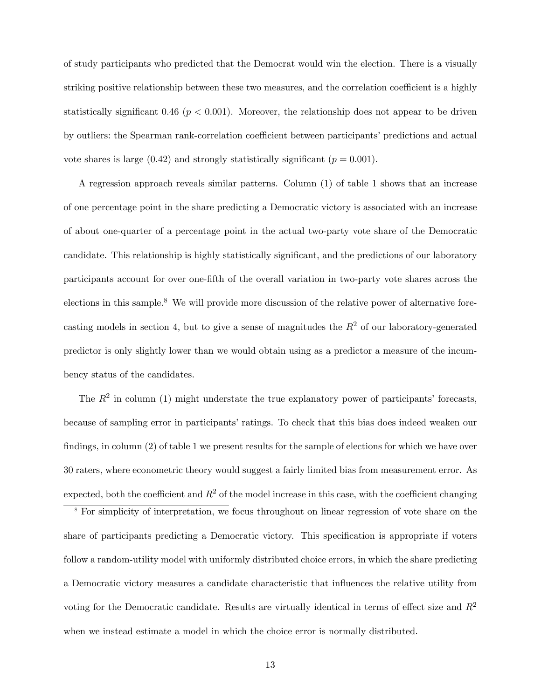of study participants who predicted that the Democrat would win the election. There is a visually striking positive relationship between these two measures, and the correlation coefficient is a highly statistically significant 0.46 ( $p < 0.001$ ). Moreover, the relationship does not appear to be driven by outliers: the Spearman rank-correlation coefficient between participants' predictions and actual vote shares is large (0.42) and strongly statistically significant ( $p = 0.001$ ).

A regression approach reveals similar patterns. Column (1) of table 1 shows that an increase of one percentage point in the share predicting a Democratic victory is associated with an increase of about one-quarter of a percentage point in the actual two-party vote share of the Democratic candidate. This relationship is highly statistically significant, and the predictions of our laboratory participants account for over one-Öfth of the overall variation in two-party vote shares across the elections in this sample.<sup>8</sup> We will provide more discussion of the relative power of alternative forecasting models in section 4, but to give a sense of magnitudes the  $R^2$  of our laboratory-generated predictor is only slightly lower than we would obtain using as a predictor a measure of the incumbency status of the candidates.

The  $R^2$  in column (1) might understate the true explanatory power of participants' forecasts, because of sampling error in participants' ratings. To check that this bias does indeed weaken our findings, in column  $(2)$  of table 1 we present results for the sample of elections for which we have over 30 raters, where econometric theory would suggest a fairly limited bias from measurement error. As expected, both the coefficient and  $R^2$  of the model increase in this case, with the coefficient changing

<sup>8</sup> For simplicity of interpretation, we focus throughout on linear regression of vote share on the share of participants predicting a Democratic victory. This specification is appropriate if voters follow a random-utility model with uniformly distributed choice errors, in which the share predicting a Democratic victory measures a candidate characteristic that ináuences the relative utility from voting for the Democratic candidate. Results are virtually identical in terms of effect size and  $R^2$ when we instead estimate a model in which the choice error is normally distributed.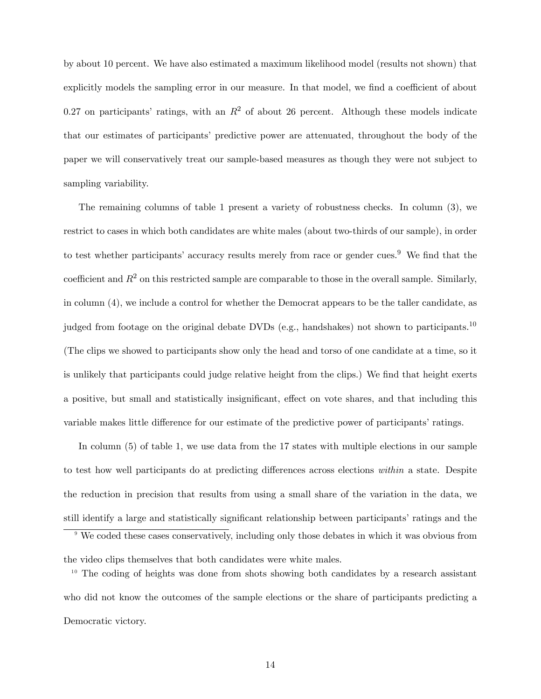by about 10 percent. We have also estimated a maximum likelihood model (results not shown) that explicitly models the sampling error in our measure. In that model, we find a coefficient of about 0.27 on participants' ratings, with an  $R^2$  of about 26 percent. Although these models indicate that our estimates of participantsí predictive power are attenuated, throughout the body of the paper we will conservatively treat our sample-based measures as though they were not subject to sampling variability.

The remaining columns of table 1 present a variety of robustness checks. In column (3), we restrict to cases in which both candidates are white males (about two-thirds of our sample), in order to test whether participants' accuracy results merely from race or gender cues.<sup>9</sup> We find that the coefficient and  $R^2$  on this restricted sample are comparable to those in the overall sample. Similarly, in column (4), we include a control for whether the Democrat appears to be the taller candidate, as judged from footage on the original debate DVDs (e.g., handshakes) not shown to participants.<sup>10</sup> (The clips we showed to participants show only the head and torso of one candidate at a time, so it is unlikely that participants could judge relative height from the clips.) We find that height exerts a positive, but small and statistically insignificant, effect on vote shares, and that including this variable makes little difference for our estimate of the predictive power of participants' ratings.

In column (5) of table 1, we use data from the 17 states with multiple elections in our sample to test how well participants do at predicting differences across elections within a state. Despite the reduction in precision that results from using a small share of the variation in the data, we still identify a large and statistically significant relationship between participants' ratings and the

<sup>&</sup>lt;sup>9</sup> We coded these cases conservatively, including only those debates in which it was obvious from

the video clips themselves that both candidates were white males.

 $10$  The coding of heights was done from shots showing both candidates by a research assistant who did not know the outcomes of the sample elections or the share of participants predicting a Democratic victory.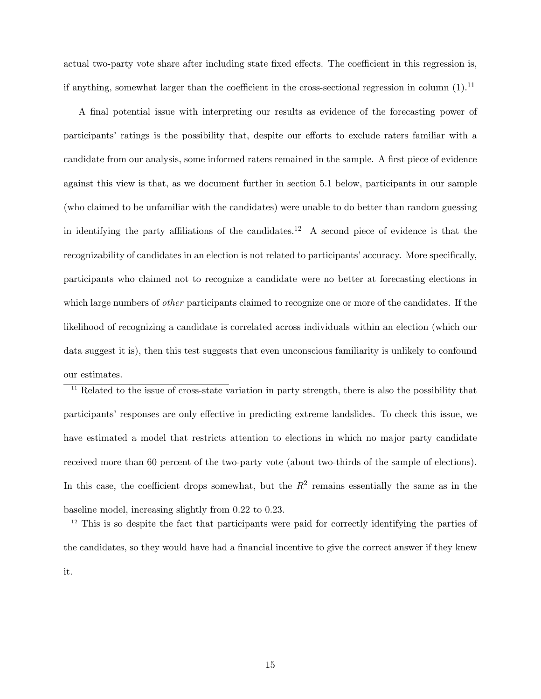actual two-party vote share after including state fixed effects. The coefficient in this regression is, if anything, somewhat larger than the coefficient in the cross-sectional regression in column  $(1).^{11}$ 

A final potential issue with interpreting our results as evidence of the forecasting power of participants' ratings is the possibility that, despite our efforts to exclude raters familiar with a candidate from our analysis, some informed raters remained in the sample. A first piece of evidence against this view is that, as we document further in section 5.1 below, participants in our sample (who claimed to be unfamiliar with the candidates) were unable to do better than random guessing in identifying the party affiliations of the candidates.<sup>12</sup> A second piece of evidence is that the recognizability of candidates in an election is not related to participants' accuracy. More specifically, participants who claimed not to recognize a candidate were no better at forecasting elections in which large numbers of *other* participants claimed to recognize one or more of the candidates. If the likelihood of recognizing a candidate is correlated across individuals within an election (which our data suggest it is), then this test suggests that even unconscious familiarity is unlikely to confound our estimates.

<sup>11</sup> Related to the issue of cross-state variation in party strength, there is also the possibility that participants' responses are only effective in predicting extreme landslides. To check this issue, we have estimated a model that restricts attention to elections in which no major party candidate received more than 60 percent of the two-party vote (about two-thirds of the sample of elections). In this case, the coefficient drops somewhat, but the  $R^2$  remains essentially the same as in the baseline model, increasing slightly from 0.22 to 0.23.

 $1<sup>12</sup>$  This is so despite the fact that participants were paid for correctly identifying the parties of the candidates, so they would have had a financial incentive to give the correct answer if they knew it.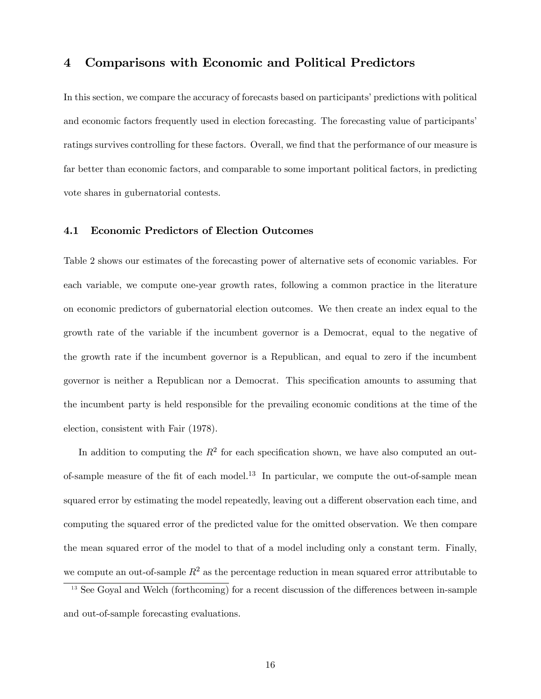## 4 Comparisons with Economic and Political Predictors

In this section, we compare the accuracy of forecasts based on participants' predictions with political and economic factors frequently used in election forecasting. The forecasting value of participants' ratings survives controlling for these factors. Overall, we find that the performance of our measure is far better than economic factors, and comparable to some important political factors, in predicting vote shares in gubernatorial contests.

## 4.1 Economic Predictors of Election Outcomes

Table 2 shows our estimates of the forecasting power of alternative sets of economic variables. For each variable, we compute one-year growth rates, following a common practice in the literature on economic predictors of gubernatorial election outcomes. We then create an index equal to the growth rate of the variable if the incumbent governor is a Democrat, equal to the negative of the growth rate if the incumbent governor is a Republican, and equal to zero if the incumbent governor is neither a Republican nor a Democrat. This specification amounts to assuming that the incumbent party is held responsible for the prevailing economic conditions at the time of the election, consistent with Fair (1978).

In addition to computing the  $R^2$  for each specification shown, we have also computed an outof-sample measure of the fit of each model.<sup>13</sup> In particular, we compute the out-of-sample mean squared error by estimating the model repeatedly, leaving out a different observation each time, and computing the squared error of the predicted value for the omitted observation. We then compare the mean squared error of the model to that of a model including only a constant term. Finally, we compute an out-of-sample  $R^2$  as the percentage reduction in mean squared error attributable to  $13$  See Goyal and Welch (forthcoming) for a recent discussion of the differences between in-sample

and out-of-sample forecasting evaluations.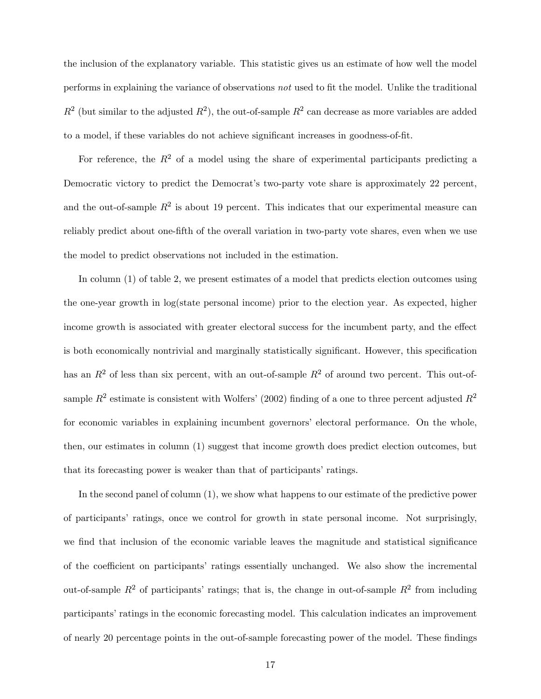the inclusion of the explanatory variable. This statistic gives us an estimate of how well the model performs in explaining the variance of observations  $not$  used to fit the model. Unlike the traditional  $R^2$  (but similar to the adjusted  $R^2$ ), the out-of-sample  $R^2$  can decrease as more variables are added to a model, if these variables do not achieve significant increases in goodness-of-fit.

For reference, the  $R^2$  of a model using the share of experimental participants predicting a Democratic victory to predict the Democrat's two-party vote share is approximately 22 percent, and the out-of-sample  $R^2$  is about 19 percent. This indicates that our experimental measure can reliably predict about one-fifth of the overall variation in two-party vote shares, even when we use the model to predict observations not included in the estimation.

In column (1) of table 2, we present estimates of a model that predicts election outcomes using the one-year growth in log(state personal income) prior to the election year. As expected, higher income growth is associated with greater electoral success for the incumbent party, and the effect is both economically nontrivial and marginally statistically significant. However, this specification has an  $R^2$  of less than six percent, with an out-of-sample  $R^2$  of around two percent. This out-ofsample  $R^2$  estimate is consistent with Wolfers' (2002) finding of a one to three percent adjusted  $R^2$ for economic variables in explaining incumbent governors' electoral performance. On the whole, then, our estimates in column (1) suggest that income growth does predict election outcomes, but that its forecasting power is weaker than that of participants' ratings.

In the second panel of column (1), we show what happens to our estimate of the predictive power of participantsí ratings, once we control for growth in state personal income. Not surprisingly, we find that inclusion of the economic variable leaves the magnitude and statistical significance of the coefficient on participants' ratings essentially unchanged. We also show the incremental out-of-sample  $R^2$  of participants' ratings; that is, the change in out-of-sample  $R^2$  from including participants' ratings in the economic forecasting model. This calculation indicates an improvement of nearly 20 percentage points in the out-of-sample forecasting power of the model. These findings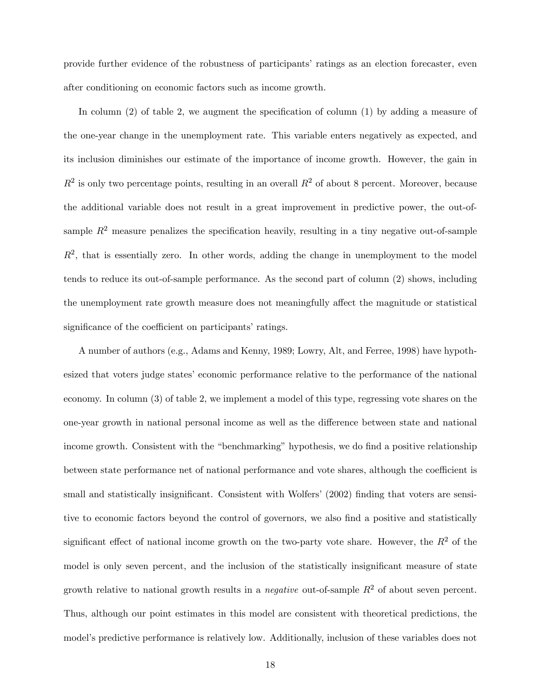provide further evidence of the robustness of participantsí ratings as an election forecaster, even after conditioning on economic factors such as income growth.

In column  $(2)$  of table 2, we augment the specification of column  $(1)$  by adding a measure of the one-year change in the unemployment rate. This variable enters negatively as expected, and its inclusion diminishes our estimate of the importance of income growth. However, the gain in  $R^2$  is only two percentage points, resulting in an overall  $R^2$  of about 8 percent. Moreover, because the additional variable does not result in a great improvement in predictive power, the out-ofsample  $R^2$  measure penalizes the specification heavily, resulting in a tiny negative out-of-sample  $R<sup>2</sup>$ , that is essentially zero. In other words, adding the change in unemployment to the model tends to reduce its out-of-sample performance. As the second part of column (2) shows, including the unemployment rate growth measure does not meaningfully affect the magnitude or statistical significance of the coefficient on participants' ratings.

A number of authors (e.g., Adams and Kenny, 1989; Lowry, Alt, and Ferree, 1998) have hypothesized that voters judge states' economic performance relative to the performance of the national economy. In column (3) of table 2, we implement a model of this type, regressing vote shares on the one-year growth in national personal income as well as the difference between state and national income growth. Consistent with the "benchmarking" hypothesis, we do find a positive relationship between state performance net of national performance and vote shares, although the coefficient is small and statistically insignificant. Consistent with Wolfers' (2002) finding that voters are sensitive to economic factors beyond the control of governors, we also find a positive and statistically significant effect of national income growth on the two-party vote share. However, the  $R^2$  of the model is only seven percent, and the inclusion of the statistically insignificant measure of state growth relative to national growth results in a *negative* out-of-sample  $R^2$  of about seven percent. Thus, although our point estimates in this model are consistent with theoretical predictions, the model's predictive performance is relatively low. Additionally, inclusion of these variables does not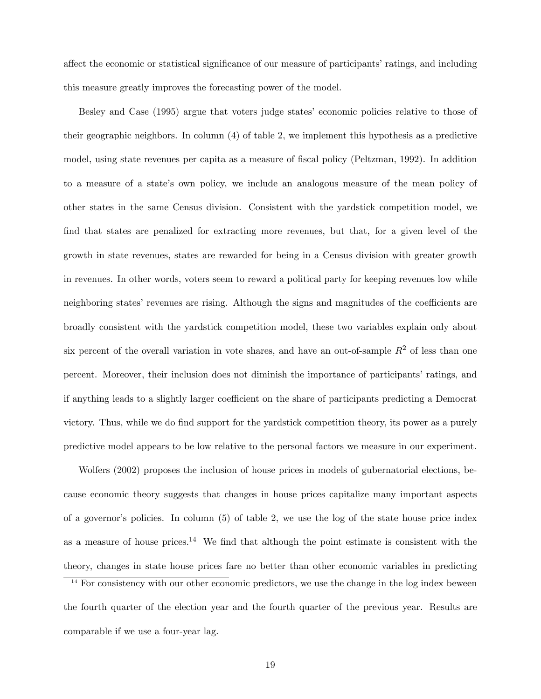affect the economic or statistical significance of our measure of participants' ratings, and including this measure greatly improves the forecasting power of the model.

Besley and Case (1995) argue that voters judge states' economic policies relative to those of their geographic neighbors. In column (4) of table 2, we implement this hypothesis as a predictive model, using state revenues per capita as a measure of fiscal policy (Peltzman, 1992). In addition to a measure of a state's own policy, we include an analogous measure of the mean policy of other states in the same Census division. Consistent with the yardstick competition model, we find that states are penalized for extracting more revenues, but that, for a given level of the growth in state revenues, states are rewarded for being in a Census division with greater growth in revenues. In other words, voters seem to reward a political party for keeping revenues low while neighboring states' revenues are rising. Although the signs and magnitudes of the coefficients are broadly consistent with the yardstick competition model, these two variables explain only about six percent of the overall variation in vote shares, and have an out-of-sample  $R<sup>2</sup>$  of less than one percent. Moreover, their inclusion does not diminish the importance of participants' ratings, and if anything leads to a slightly larger coefficient on the share of participants predicting a Democrat victory. Thus, while we do find support for the yardstick competition theory, its power as a purely predictive model appears to be low relative to the personal factors we measure in our experiment.

Wolfers (2002) proposes the inclusion of house prices in models of gubernatorial elections, because economic theory suggests that changes in house prices capitalize many important aspects of a governorís policies. In column (5) of table 2, we use the log of the state house price index as a measure of house prices.<sup>14</sup> We find that although the point estimate is consistent with the theory, changes in state house prices fare no better than other economic variables in predicting

 $\frac{14}{14}$  For consistency with our other economic predictors, we use the change in the log index beween the fourth quarter of the election year and the fourth quarter of the previous year. Results are comparable if we use a four-year lag.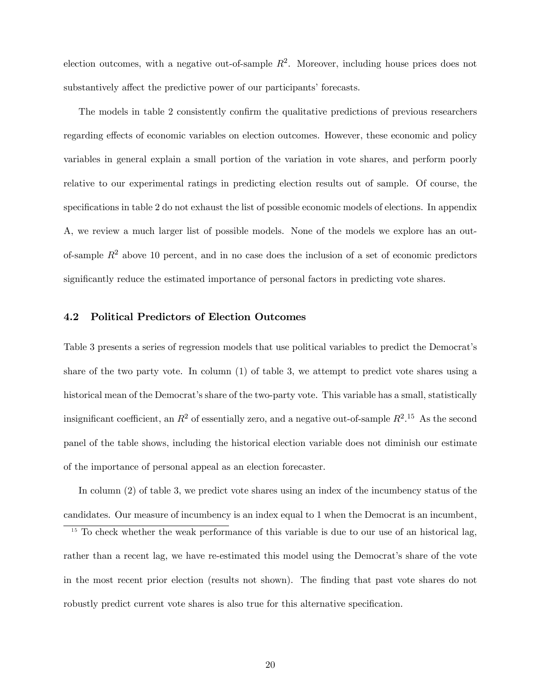election outcomes, with a negative out-of-sample  $R^2$ . Moreover, including house prices does not substantively affect the predictive power of our participants' forecasts.

The models in table 2 consistently confirm the qualitative predictions of previous researchers regarding effects of economic variables on election outcomes. However, these economic and policy variables in general explain a small portion of the variation in vote shares, and perform poorly relative to our experimental ratings in predicting election results out of sample. Of course, the specifications in table 2 do not exhaust the list of possible economic models of elections. In appendix A, we review a much larger list of possible models. None of the models we explore has an outof-sample  $R<sup>2</sup>$  above 10 percent, and in no case does the inclusion of a set of economic predictors significantly reduce the estimated importance of personal factors in predicting vote shares.

## 4.2 Political Predictors of Election Outcomes

Table 3 presents a series of regression models that use political variables to predict the Democrat's share of the two party vote. In column (1) of table 3, we attempt to predict vote shares using a historical mean of the Democrat's share of the two-party vote. This variable has a small, statistically insignificant coefficient, an  $R^2$  of essentially zero, and a negative out-of-sample  $R^2$ .<sup>15</sup> As the second panel of the table shows, including the historical election variable does not diminish our estimate of the importance of personal appeal as an election forecaster.

In column (2) of table 3, we predict vote shares using an index of the incumbency status of the candidates. Our measure of incumbency is an index equal to 1 when the Democrat is an incumbent,

<sup>&</sup>lt;sup>15</sup> To check whether the weak performance of this variable is due to our use of an historical lag, rather than a recent lag, we have re-estimated this model using the Democrat's share of the vote in the most recent prior election (results not shown). The finding that past vote shares do not robustly predict current vote shares is also true for this alternative specification.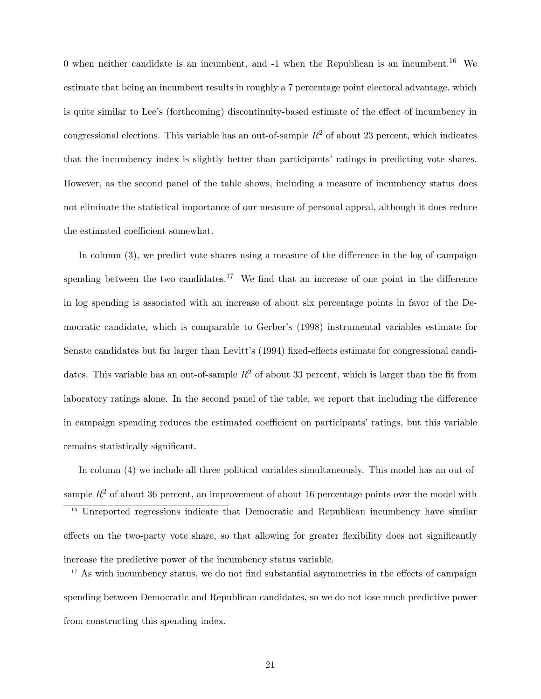0 when neither candidate is an incumbent, and  $-1$  when the Republican is an incumbent.<sup>16</sup> We estimate that being an incumbent results in roughly a 7 percentage point electoral advantage, which is quite similar to Lee's (forthcoming) discontinuity-based estimate of the effect of incumbency in congressional elections. This variable has an out-of-sample  $R^2$  of about 23 percent, which indicates that the incumbency index is slightly better than participants' ratings in predicting vote shares. However, as the second panel of the table shows, including a measure of incumbency status does not eliminate the statistical importance of our measure of personal appeal, although it does reduce the estimated coefficient somewhat.

In column  $(3)$ , we predict vote shares using a measure of the difference in the log of campaign spending between the two candidates.<sup>17</sup> We find that an increase of one point in the difference in log spending is associated with an increase of about six percentage points in favor of the Democratic candidate, which is comparable to Gerber's (1998) instrumental variables estimate for Senate candidates but far larger than Levitt's (1994) fixed-effects estimate for congressional candidates. This variable has an out-of-sample  $R^2$  of about 33 percent, which is larger than the fit from laboratory ratings alone. In the second panel of the table, we report that including the difference in campaign spending reduces the estimated coefficient on participants' ratings, but this variable remains statistically significant.

In column (4) we include all three political variables simultaneously. This model has an out-ofsample  $R^2$  of about 36 percent, an improvement of about 16 percentage points over the model with

<sup>16</sup> Unreported regressions indicate that Democratic and Republican incumbency have similar effects on the two-party vote share, so that allowing for greater flexibility does not significantly increase the predictive power of the incumbency status variable.

 $17$  As with incumbency status, we do not find substantial asymmetries in the effects of campaign spending between Democratic and Republican candidates, so we do not lose much predictive power from constructing this spending index.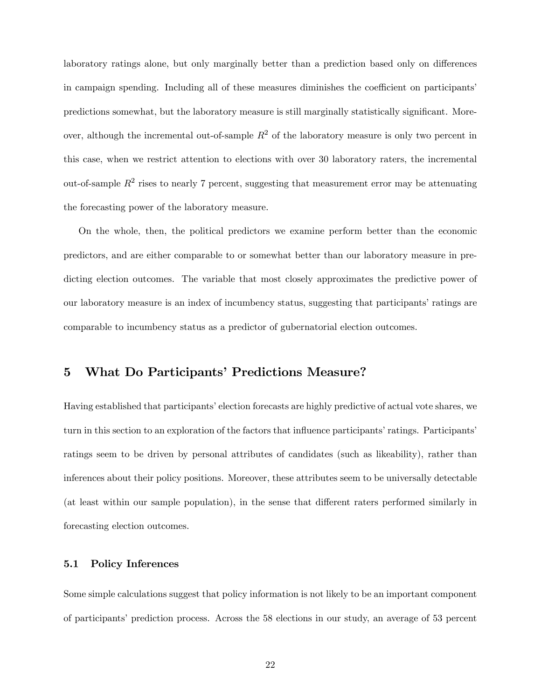laboratory ratings alone, but only marginally better than a prediction based only on differences in campaign spending. Including all of these measures diminishes the coefficient on participants' predictions somewhat, but the laboratory measure is still marginally statistically significant. Moreover, although the incremental out-of-sample  $R<sup>2</sup>$  of the laboratory measure is only two percent in this case, when we restrict attention to elections with over 30 laboratory raters, the incremental out-of-sample  $R^2$  rises to nearly 7 percent, suggesting that measurement error may be attenuating the forecasting power of the laboratory measure.

On the whole, then, the political predictors we examine perform better than the economic predictors, and are either comparable to or somewhat better than our laboratory measure in predicting election outcomes. The variable that most closely approximates the predictive power of our laboratory measure is an index of incumbency status, suggesting that participants' ratings are comparable to incumbency status as a predictor of gubernatorial election outcomes.

# 5 What Do Participants' Predictions Measure?

Having established that participants' election forecasts are highly predictive of actual vote shares, we turn in this section to an exploration of the factors that influence participants' ratings. Participants' ratings seem to be driven by personal attributes of candidates (such as likeability), rather than inferences about their policy positions. Moreover, these attributes seem to be universally detectable (at least within our sample population), in the sense that different raters performed similarly in forecasting election outcomes.

## 5.1 Policy Inferences

Some simple calculations suggest that policy information is not likely to be an important component of participants' prediction process. Across the 58 elections in our study, an average of 53 percent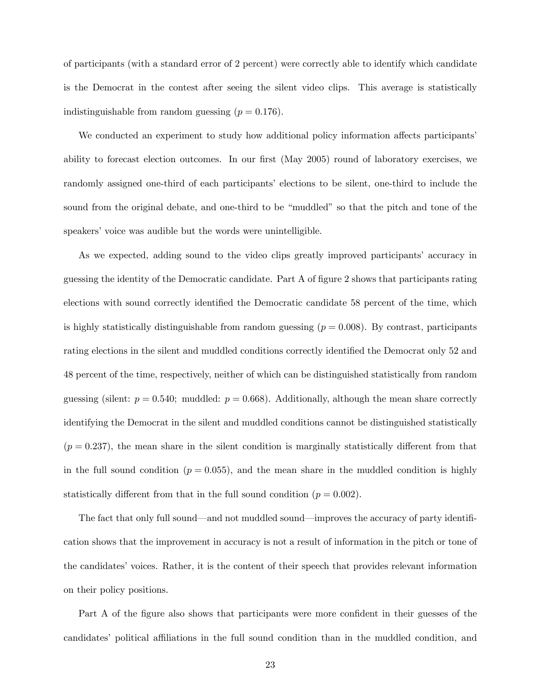of participants (with a standard error of 2 percent) were correctly able to identify which candidate is the Democrat in the contest after seeing the silent video clips. This average is statistically indistinguishable from random guessing  $(p = 0.176)$ .

We conducted an experiment to study how additional policy information affects participants ability to forecast election outcomes. In our first (May 2005) round of laboratory exercises, we randomly assigned one-third of each participants' elections to be silent, one-third to include the sound from the original debate, and one-third to be "muddled" so that the pitch and tone of the speakers' voice was audible but the words were unintelligible.

As we expected, adding sound to the video clips greatly improved participants' accuracy in guessing the identity of the Democratic candidate. Part A of figure 2 shows that participants rating elections with sound correctly identified the Democratic candidate 58 percent of the time, which is highly statistically distinguishable from random guessing  $(p = 0.008)$ . By contrast, participants rating elections in the silent and muddled conditions correctly identified the Democrat only 52 and 48 percent of the time, respectively, neither of which can be distinguished statistically from random guessing (silent:  $p = 0.540$ ; muddled:  $p = 0.668$ ). Additionally, although the mean share correctly identifying the Democrat in the silent and muddled conditions cannot be distinguished statistically  $(p = 0.237)$ , the mean share in the silent condition is marginally statistically different from that in the full sound condition  $(p = 0.055)$ , and the mean share in the muddled condition is highly statistically different from that in the full sound condition  $(p = 0.002)$ .

The fact that only full sound—and not muddled sound—improves the accuracy of party identification shows that the improvement in accuracy is not a result of information in the pitch or tone of the candidates' voices. Rather, it is the content of their speech that provides relevant information on their policy positions.

Part A of the figure also shows that participants were more confident in their guesses of the candidates' political affiliations in the full sound condition than in the muddled condition, and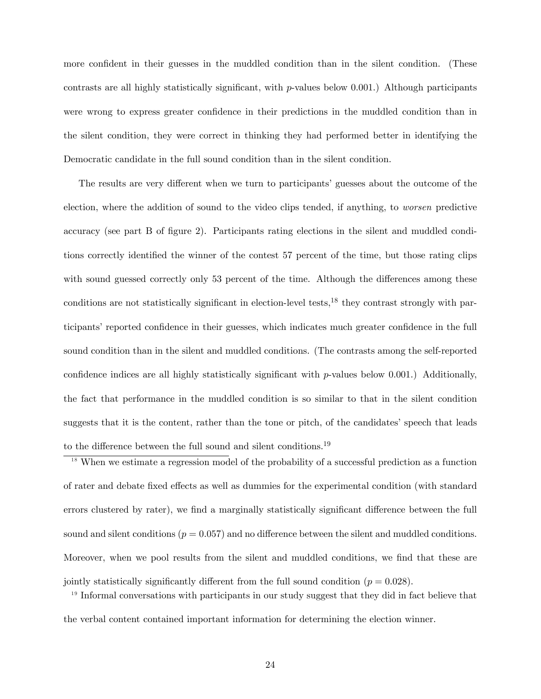more confident in their guesses in the muddled condition than in the silent condition. (These contrasts are all highly statistically significant, with  $p$ -values below 0.001.) Although participants were wrong to express greater confidence in their predictions in the muddled condition than in the silent condition, they were correct in thinking they had performed better in identifying the Democratic candidate in the full sound condition than in the silent condition.

The results are very different when we turn to participants' guesses about the outcome of the election, where the addition of sound to the video clips tended, if anything, to worsen predictive accuracy (see part B of figure 2). Participants rating elections in the silent and muddled conditions correctly identified the winner of the contest 57 percent of the time, but those rating clips with sound guessed correctly only 53 percent of the time. Although the differences among these conditions are not statistically significant in election-level tests,<sup>18</sup> they contrast strongly with participants' reported confidence in their guesses, which indicates much greater confidence in the full sound condition than in the silent and muddled conditions. (The contrasts among the self-reported confidence indices are all highly statistically significant with  $p$ -values below 0.001.) Additionally, the fact that performance in the muddled condition is so similar to that in the silent condition suggests that it is the content, rather than the tone or pitch, of the candidates' speech that leads to the difference between the full sound and silent conditions.<sup>19</sup>

 $18$  When we estimate a regression model of the probability of a successful prediction as a function of rater and debate fixed effects as well as dummies for the experimental condition (with standard errors clustered by rater), we find a marginally statistically significant difference between the full sound and silent conditions  $(p = 0.057)$  and no difference between the silent and muddled conditions. Moreover, when we pool results from the silent and muddled conditions, we find that these are jointly statistically significantly different from the full sound condition ( $p = 0.028$ ).

<sup>19</sup> Informal conversations with participants in our study suggest that they did in fact believe that the verbal content contained important information for determining the election winner.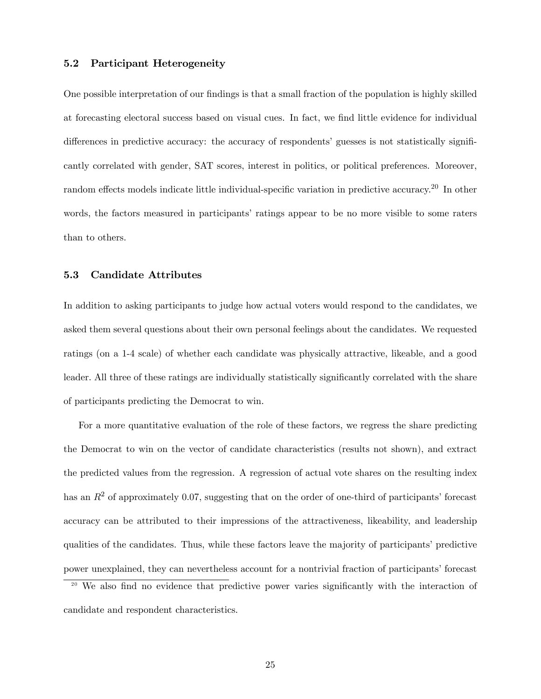## 5.2 Participant Heterogeneity

One possible interpretation of our findings is that a small fraction of the population is highly skilled at forecasting electoral success based on visual cues. In fact, we find little evidence for individual differences in predictive accuracy: the accuracy of respondents' guesses is not statistically significantly correlated with gender, SAT scores, interest in politics, or political preferences. Moreover, random effects models indicate little individual-specific variation in predictive accuracy.<sup>20</sup> In other words, the factors measured in participants' ratings appear to be no more visible to some raters than to others.

## 5.3 Candidate Attributes

In addition to asking participants to judge how actual voters would respond to the candidates, we asked them several questions about their own personal feelings about the candidates. We requested ratings (on a 1-4 scale) of whether each candidate was physically attractive, likeable, and a good leader. All three of these ratings are individually statistically significantly correlated with the share of participants predicting the Democrat to win.

For a more quantitative evaluation of the role of these factors, we regress the share predicting the Democrat to win on the vector of candidate characteristics (results not shown), and extract the predicted values from the regression. A regression of actual vote shares on the resulting index has an  $R<sup>2</sup>$  of approximately 0.07, suggesting that on the order of one-third of participants' forecast accuracy can be attributed to their impressions of the attractiveness, likeability, and leadership qualities of the candidates. Thus, while these factors leave the majority of participants' predictive power unexplained, they can nevertheless account for a nontrivial fraction of participants' forecast <sup>20</sup> We also find no evidence that predictive power varies significantly with the interaction of

candidate and respondent characteristics.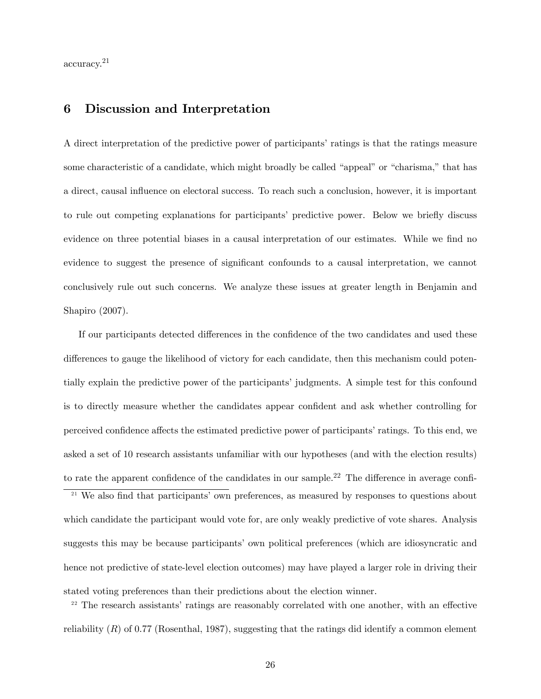accuracy.<sup>21</sup>

# 6 Discussion and Interpretation

A direct interpretation of the predictive power of participants' ratings is that the ratings measure some characteristic of a candidate, which might broadly be called "appeal" or "charisma," that has a direct, causal influence on electoral success. To reach such a conclusion, however, it is important to rule out competing explanations for participants' predictive power. Below we briefly discuss evidence on three potential biases in a causal interpretation of our estimates. While we find no evidence to suggest the presence of significant confounds to a causal interpretation, we cannot conclusively rule out such concerns. We analyze these issues at greater length in Benjamin and Shapiro (2007).

If our participants detected differences in the confidence of the two candidates and used these differences to gauge the likelihood of victory for each candidate, then this mechanism could potentially explain the predictive power of the participants' judgments. A simple test for this confound is to directly measure whether the candidates appear confident and ask whether controlling for perceived confidence affects the estimated predictive power of participants' ratings. To this end, we asked a set of 10 research assistants unfamiliar with our hypotheses (and with the election results) to rate the apparent confidence of the candidates in our sample.<sup>22</sup> The difference in average confi- $21$  We also find that participants' own preferences, as measured by responses to questions about which candidate the participant would vote for, are only weakly predictive of vote shares. Analysis

suggests this may be because participants' own political preferences (which are idiosyncratic and hence not predictive of state-level election outcomes) may have played a larger role in driving their stated voting preferences than their predictions about the election winner.

 $2<sup>22</sup>$  The research assistants' ratings are reasonably correlated with one another, with an effective reliability  $(R)$  of 0.77 (Rosenthal, 1987), suggesting that the ratings did identify a common element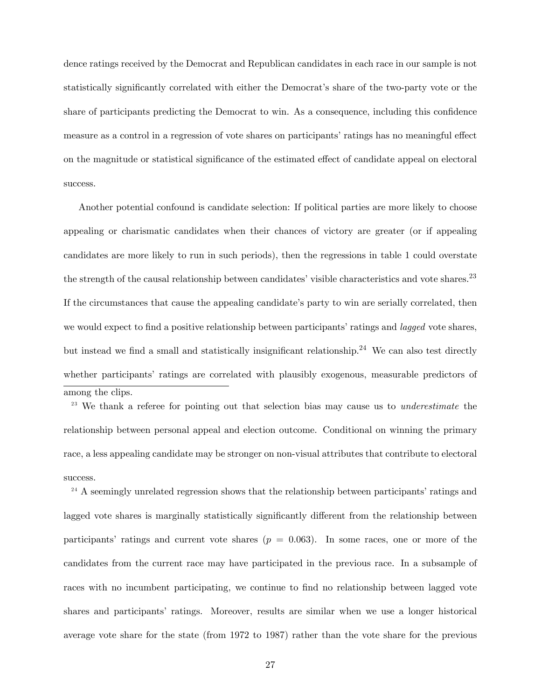dence ratings received by the Democrat and Republican candidates in each race in our sample is not statistically significantly correlated with either the Democrat's share of the two-party vote or the share of participants predicting the Democrat to win. As a consequence, including this confidence measure as a control in a regression of vote shares on participants' ratings has no meaningful effect on the magnitude or statistical significance of the estimated effect of candidate appeal on electoral success.

Another potential confound is candidate selection: If political parties are more likely to choose appealing or charismatic candidates when their chances of victory are greater (or if appealing candidates are more likely to run in such periods), then the regressions in table 1 could overstate the strength of the causal relationship between candidates' visible characteristics and vote shares.<sup>23</sup> If the circumstances that cause the appealing candidate's party to win are serially correlated, then we would expect to find a positive relationship between participants' ratings and *lagged* vote shares, but instead we find a small and statistically insignificant relationship.<sup>24</sup> We can also test directly whether participants' ratings are correlated with plausibly exogenous, measurable predictors of among the clips.

<sup>23</sup> We thank a referee for pointing out that selection bias may cause us to *underestimate* the relationship between personal appeal and election outcome. Conditional on winning the primary race, a less appealing candidate may be stronger on non-visual attributes that contribute to electoral success.

 $24$  A seemingly unrelated regression shows that the relationship between participants' ratings and lagged vote shares is marginally statistically significantly different from the relationship between participants' ratings and current vote shares  $(p = 0.063)$ . In some races, one or more of the candidates from the current race may have participated in the previous race. In a subsample of races with no incumbent participating, we continue to find no relationship between lagged vote shares and participants' ratings. Moreover, results are similar when we use a longer historical average vote share for the state (from 1972 to 1987) rather than the vote share for the previous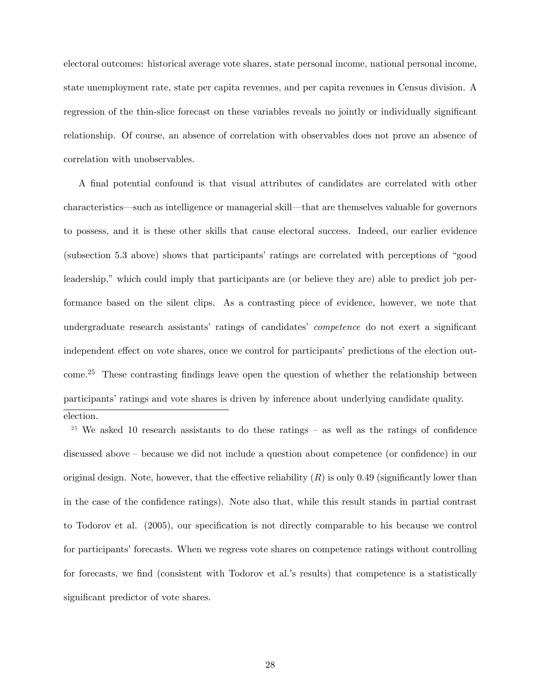electoral outcomes: historical average vote shares, state personal income, national personal income, state unemployment rate, state per capita revenues, and per capita revenues in Census division. A regression of the thin-slice forecast on these variables reveals no jointly or individually significant relationship. Of course, an absence of correlation with observables does not prove an absence of correlation with unobservables.

A Önal potential confound is that visual attributes of candidates are correlated with other characteristics—such as intelligence or managerial skill—that are themselves valuable for governors to possess, and it is these other skills that cause electoral success. Indeed, our earlier evidence (subsection 5.3 above) shows that participants' ratings are correlated with perceptions of "good leadership," which could imply that participants are (or believe they are) able to predict job performance based on the silent clips. As a contrasting piece of evidence, however, we note that undergraduate research assistants' ratings of candidates' *competence* do not exert a significant independent effect on vote shares, once we control for participants' predictions of the election out $come<sup>25</sup>$  These contrasting findings leave open the question of whether the relationship between participants' ratings and vote shares is driven by inference about underlying candidate quality. election.

<sup>25</sup> We asked 10 research assistants to do these ratings  $-$  as well as the ratings of confidence discussed above – because we did not include a question about competence (or confidence) in our original design. Note, however, that the effective reliability  $(R)$  is only 0.49 (significantly lower than in the case of the confidence ratings). Note also that, while this result stands in partial contrast to Todorov et al. (2005), our specification is not directly comparable to his because we control for participants' forecasts. When we regress vote shares on competence ratings without controlling for forecasts, we find (consistent with Todorov et al.'s results) that competence is a statistically significant predictor of vote shares.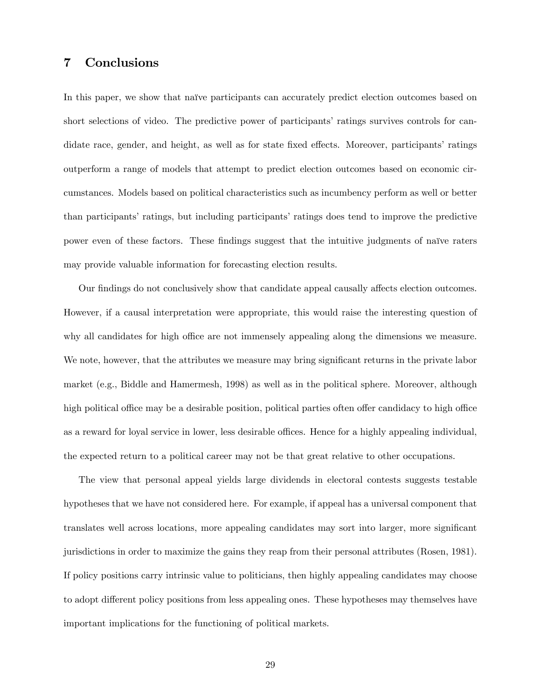# 7 Conclusions

In this paper, we show that naïve participants can accurately predict election outcomes based on short selections of video. The predictive power of participants' ratings survives controls for candidate race, gender, and height, as well as for state fixed effects. Moreover, participants' ratings outperform a range of models that attempt to predict election outcomes based on economic circumstances. Models based on political characteristics such as incumbency perform as well or better than participants' ratings, but including participants' ratings does tend to improve the predictive power even of these factors. These findings suggest that the intuitive judgments of naïve raters may provide valuable information for forecasting election results.

Our findings do not conclusively show that candidate appeal causally affects election outcomes. However, if a causal interpretation were appropriate, this would raise the interesting question of why all candidates for high office are not immensely appealing along the dimensions we measure. We note, however, that the attributes we measure may bring significant returns in the private labor market (e.g., Biddle and Hamermesh, 1998) as well as in the political sphere. Moreover, although high political office may be a desirable position, political parties often offer candidacy to high office as a reward for loyal service in lower, less desirable offices. Hence for a highly appealing individual, the expected return to a political career may not be that great relative to other occupations.

The view that personal appeal yields large dividends in electoral contests suggests testable hypotheses that we have not considered here. For example, if appeal has a universal component that translates well across locations, more appealing candidates may sort into larger, more significant jurisdictions in order to maximize the gains they reap from their personal attributes (Rosen, 1981). If policy positions carry intrinsic value to politicians, then highly appealing candidates may choose to adopt different policy positions from less appealing ones. These hypotheses may themselves have important implications for the functioning of political markets.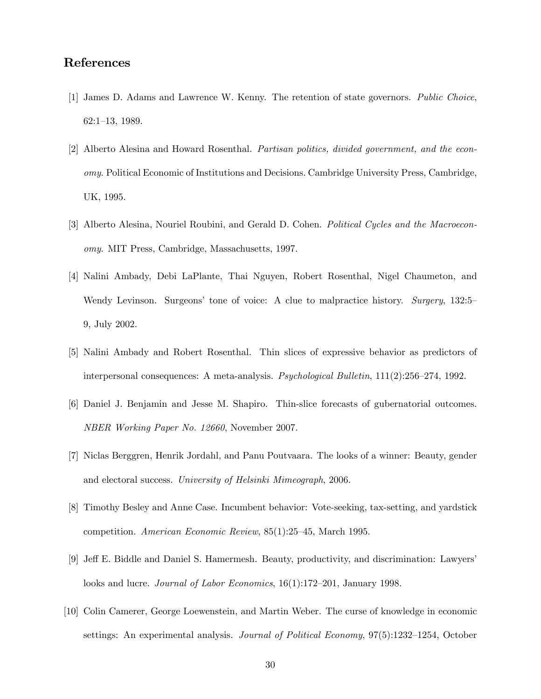# References

- [1] James D. Adams and Lawrence W. Kenny. The retention of state governors. Public Choice, 62:1-13, 1989.
- [2] Alberto Alesina and Howard Rosenthal. Partisan politics, divided government, and the economy. Political Economic of Institutions and Decisions. Cambridge University Press, Cambridge, UK, 1995.
- [3] Alberto Alesina, Nouriel Roubini, and Gerald D. Cohen. *Political Cycles and the Macroecon*omy. MIT Press, Cambridge, Massachusetts, 1997.
- [4] Nalini Ambady, Debi LaPlante, Thai Nguyen, Robert Rosenthal, Nigel Chaumeton, and Wendy Levinson. Surgeons' tone of voice: A clue to malpractice history. Surgery, 132:5– 9, July 2002.
- [5] Nalini Ambady and Robert Rosenthal. Thin slices of expressive behavior as predictors of interpersonal consequences: A meta-analysis. *Psychological Bulletin*,  $111(2):256-274$ , 1992.
- [6] Daniel J. Benjamin and Jesse M. Shapiro. Thin-slice forecasts of gubernatorial outcomes. NBER Working Paper No. 12660, November 2007.
- [7] Niclas Berggren, Henrik Jordahl, and Panu Poutvaara. The looks of a winner: Beauty, gender and electoral success. University of Helsinki Mimeograph, 2006.
- [8] Timothy Besley and Anne Case. Incumbent behavior: Vote-seeking, tax-setting, and yardstick competition. American Economic Review, 85(1):25–45, March 1995.
- [9] Jeff E. Biddle and Daniel S. Hamermesh. Beauty, productivity, and discrimination: Lawyers' looks and lucre. Journal of Labor Economics, 16(1):172-201, January 1998.
- [10] Colin Camerer, George Loewenstein, and Martin Weber. The curse of knowledge in economic settings: An experimental analysis. *Journal of Political Economy*, 97(5):1232–1254, October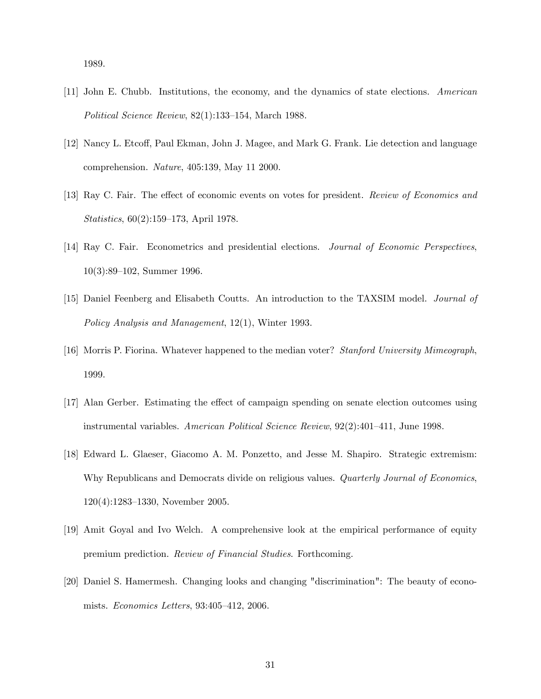1989.

- [11] John E. Chubb. Institutions, the economy, and the dynamics of state elections. American Political Science Review,  $82(1):133-154$ , March 1988.
- [12] Nancy L. Etcoff, Paul Ekman, John J. Magee, and Mark G. Frank. Lie detection and language comprehension. Nature, 405:139, May 11 2000.
- [13] Ray C. Fair. The effect of economic events on votes for president. Review of Economics and Statistics,  $60(2):159-173$ , April 1978.
- [14] Ray C. Fair. Econometrics and presidential elections. Journal of Economic Perspectives,  $10(3):89-102$ , Summer 1996.
- [15] Daniel Feenberg and Elisabeth Coutts. An introduction to the TAXSIM model. Journal of Policy Analysis and Management, 12(1), Winter 1993.
- [16] Morris P. Fiorina. Whatever happened to the median voter? Stanford University Mimeograph, 1999.
- [17] Alan Gerber. Estimating the effect of campaign spending on senate election outcomes using instrumental variables. American Political Science Review,  $92(2):401-411$ , June 1998.
- [18] Edward L. Glaeser, Giacomo A. M. Ponzetto, and Jesse M. Shapiro. Strategic extremism: Why Republicans and Democrats divide on religious values. Quarterly Journal of Economics,  $120(4):1283-1330$ , November 2005.
- [19] Amit Goyal and Ivo Welch. A comprehensive look at the empirical performance of equity premium prediction. Review of Financial Studies. Forthcoming.
- [20] Daniel S. Hamermesh. Changing looks and changing "discrimination": The beauty of economists.  $Economics$  Letters, 93:405-412, 2006.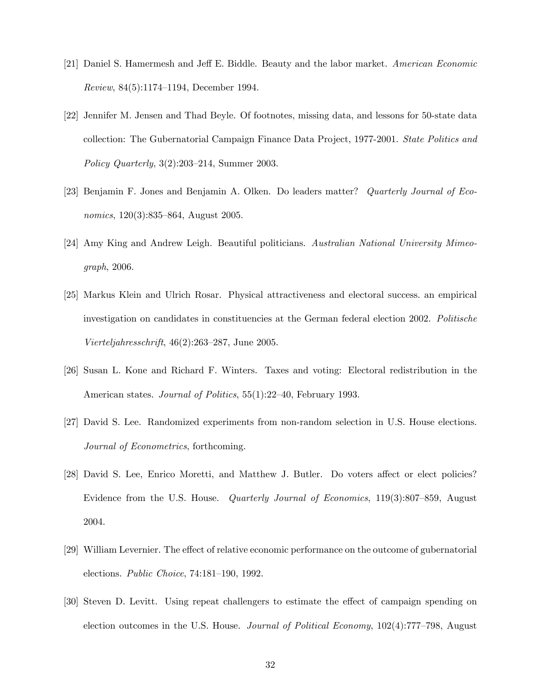- [21] Daniel S. Hamermesh and Jeff E. Biddle. Beauty and the labor market. American Economic Review,  $84(5):1174-1194$ , December 1994.
- [22] Jennifer M. Jensen and Thad Beyle. Of footnotes, missing data, and lessons for 50-state data collection: The Gubernatorial Campaign Finance Data Project, 1977-2001. State Politics and Policy Quarterly,  $3(2):203-214$ , Summer 2003.
- [23] Benjamin F. Jones and Benjamin A. Olken. Do leaders matter? Quarterly Journal of Economics,  $120(3):835-864$ , August 2005.
- [24] Amy King and Andrew Leigh. Beautiful politicians. Australian National University Mimeograph, 2006.
- [25] Markus Klein and Ulrich Rosar. Physical attractiveness and electoral success. an empirical investigation on candidates in constituencies at the German federal election 2002. Politische Vierteljahresschrift,  $46(2):263-287$ , June 2005.
- [26] Susan L. Kone and Richard F. Winters. Taxes and voting: Electoral redistribution in the American states. *Journal of Politics*, 55(1):22–40, February 1993.
- [27] David S. Lee. Randomized experiments from non-random selection in U.S. House elections. Journal of Econometrics, forthcoming.
- [28] David S. Lee, Enrico Moretti, and Matthew J. Butler. Do voters affect or elect policies? Evidence from the U.S. House. *Quarterly Journal of Economics*, 119(3):807–859, August 2004.
- [29] William Levernier. The effect of relative economic performance on the outcome of gubernatorial elections. Public Choice, 74:181-190, 1992.
- [30] Steven D. Levitt. Using repeat challengers to estimate the effect of campaign spending on election outcomes in the U.S. House. *Journal of Political Economy*,  $102(4)$ :777<sup>-798</sup>, August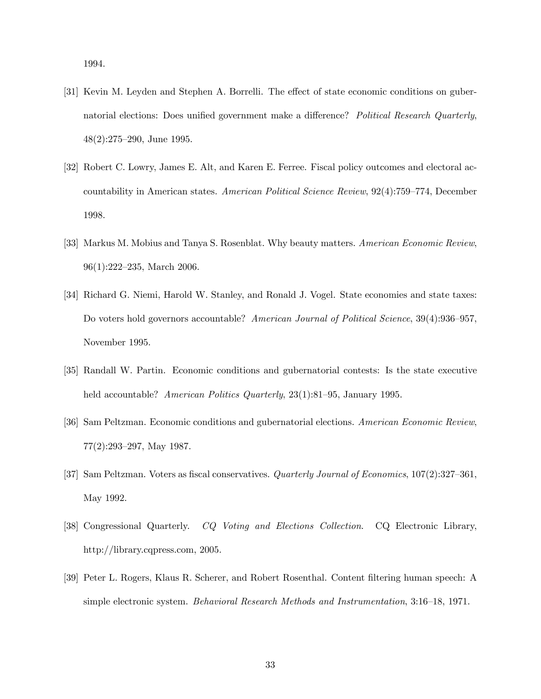1994.

- [31] Kevin M. Leyden and Stephen A. Borrelli. The effect of state economic conditions on gubernatorial elections: Does unified government make a difference? Political Research Quarterly,  $48(2):275-290$ , June 1995.
- [32] Robert C. Lowry, James E. Alt, and Karen E. Ferree. Fiscal policy outcomes and electoral accountability in American states. American Political Science Review, 92(4):759–774, December 1998.
- [33] Markus M. Mobius and Tanya S. Rosenblat. Why beauty matters. American Economic Review,  $96(1):222-235$ , March 2006.
- [34] Richard G. Niemi, Harold W. Stanley, and Ronald J. Vogel. State economies and state taxes: Do voters hold governors accountable? American Journal of Political Science, 39(4):936–957, November 1995.
- [35] Randall W. Partin. Economic conditions and gubernatorial contests: Is the state executive held accountable? American Politics Quarterly, 23(1):81-95, January 1995.
- [36] Sam Peltzman. Economic conditions and gubernatorial elections. American Economic Review,  $77(2):293-297$ , May 1987.
- [37] Sam Peltzman. Voters as fiscal conservatives. *Quarterly Journal of Economics*,  $107(2):327-361$ , May 1992.
- [38] Congressional Quarterly. CQ Voting and Elections Collection. CQ Electronic Library, http://library.cqpress.com, 2005.
- [39] Peter L. Rogers, Klaus R. Scherer, and Robert Rosenthal. Content Öltering human speech: A simple electronic system. Behavioral Research Methods and Instrumentation, 3:16–18, 1971.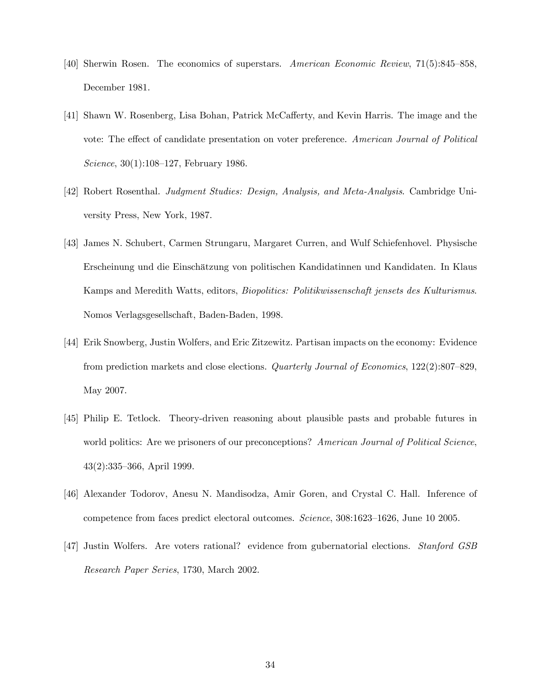- [40] Sherwin Rosen. The economics of superstars. American Economic Review,  $71(5):845-858$ , December 1981.
- [41] Shawn W. Rosenberg, Lisa Bohan, Patrick McCafferty, and Kevin Harris. The image and the vote: The effect of candidate presentation on voter preference. American Journal of Political Science,  $30(1):108-127$ , February 1986.
- [42] Robert Rosenthal. Judgment Studies: Design, Analysis, and Meta-Analysis. Cambridge University Press, New York, 1987.
- [43] James N. Schubert, Carmen Strungaru, Margaret Curren, and Wulf Schiefenhovel. Physische Erscheinung und die Einsch‰tzung von politischen Kandidatinnen und Kandidaten. In Klaus Kamps and Meredith Watts, editors, Biopolitics: Politikwissenschaft jensets des Kulturismus. Nomos Verlagsgesellschaft, Baden-Baden, 1998.
- [44] Erik Snowberg, Justin Wolfers, and Eric Zitzewitz. Partisan impacts on the economy: Evidence from prediction markets and close elections. Quarterly Journal of Economics,  $122(2):807-829$ , May 2007.
- [45] Philip E. Tetlock. Theory-driven reasoning about plausible pasts and probable futures in world politics: Are we prisoners of our preconceptions? American Journal of Political Science,  $43(2):335-366$ , April 1999.
- [46] Alexander Todorov, Anesu N. Mandisodza, Amir Goren, and Crystal C. Hall. Inference of competence from faces predict electoral outcomes. Science, 308:1623-1626, June 10 2005.
- [47] Justin Wolfers. Are voters rational? evidence from gubernatorial elections. Stanford GSB Research Paper Series, 1730, March 2002.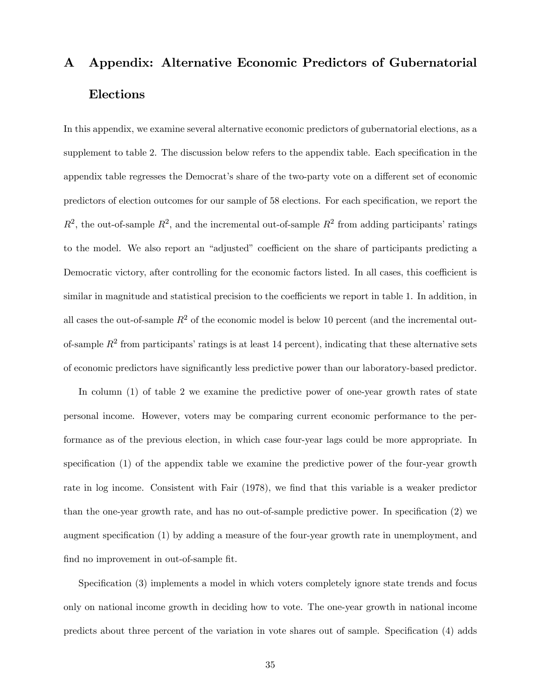# A Appendix: Alternative Economic Predictors of Gubernatorial Elections

In this appendix, we examine several alternative economic predictors of gubernatorial elections, as a supplement to table 2. The discussion below refers to the appendix table. Each specification in the appendix table regresses the Democrat's share of the two-party vote on a different set of economic predictors of election outcomes for our sample of 58 elections. For each specification, we report the  $R^2$ , the out-of-sample  $R^2$ , and the incremental out-of-sample  $R^2$  from adding participants' ratings to the model. We also report an "adjusted" coefficient on the share of participants predicting a Democratic victory, after controlling for the economic factors listed. In all cases, this coefficient is similar in magnitude and statistical precision to the coefficients we report in table 1. In addition, in all cases the out-of-sample  $R^2$  of the economic model is below 10 percent (and the incremental outof-sample  $R^2$  from participants' ratings is at least 14 percent), indicating that these alternative sets of economic predictors have significantly less predictive power than our laboratory-based predictor.

In column (1) of table 2 we examine the predictive power of one-year growth rates of state personal income. However, voters may be comparing current economic performance to the performance as of the previous election, in which case four-year lags could be more appropriate. In specification  $(1)$  of the appendix table we examine the predictive power of the four-year growth rate in log income. Consistent with Fair (1978), we find that this variable is a weaker predictor than the one-year growth rate, and has no out-of-sample predictive power. In specification  $(2)$  we augment specification (1) by adding a measure of the four-year growth rate in unemployment, and find no improvement in out-of-sample fit.

Specification (3) implements a model in which voters completely ignore state trends and focus only on national income growth in deciding how to vote. The one-year growth in national income predicts about three percent of the variation in vote shares out of sample. Specification (4) adds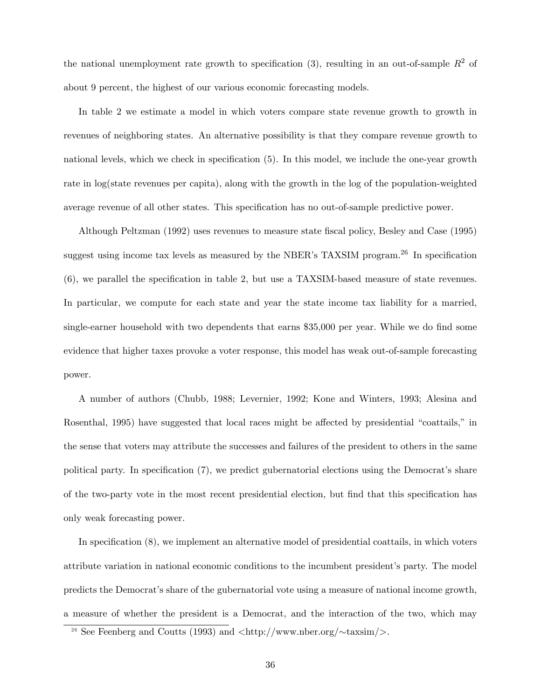the national unemployment rate growth to specification (3), resulting in an out-of-sample  $R^2$  of about 9 percent, the highest of our various economic forecasting models.

In table 2 we estimate a model in which voters compare state revenue growth to growth in revenues of neighboring states. An alternative possibility is that they compare revenue growth to national levels, which we check in specification (5). In this model, we include the one-year growth rate in log(state revenues per capita), along with the growth in the log of the population-weighted average revenue of all other states. This specification has no out-of-sample predictive power.

Although Peltzman (1992) uses revenues to measure state Öscal policy, Besley and Case (1995) suggest using income tax levels as measured by the NBER's TAXSIM program.<sup>26</sup> In specification (6), we parallel the speciÖcation in table 2, but use a TAXSIM-based measure of state revenues. In particular, we compute for each state and year the state income tax liability for a married, single-earner household with two dependents that earns \$35,000 per year. While we do find some evidence that higher taxes provoke a voter response, this model has weak out-of-sample forecasting power.

A number of authors (Chubb, 1988; Levernier, 1992; Kone and Winters, 1993; Alesina and Rosenthal, 1995) have suggested that local races might be affected by presidential "coattails," in the sense that voters may attribute the successes and failures of the president to others in the same political party. In specification  $(7)$ , we predict gubernatorial elections using the Democrat's share of the two-party vote in the most recent presidential election, but find that this specification has only weak forecasting power.

In specification (8), we implement an alternative model of presidential coattails, in which voters attribute variation in national economic conditions to the incumbent president's party. The model predicts the Democratís share of the gubernatorial vote using a measure of national income growth, a measure of whether the president is a Democrat, and the interaction of the two, which may

<sup>&</sup>lt;sup>26</sup> See Feenberg and Coutts (1993) and  $\langle \text{http://www.nber.org/} \sim \text{taxsim/} \rangle$ .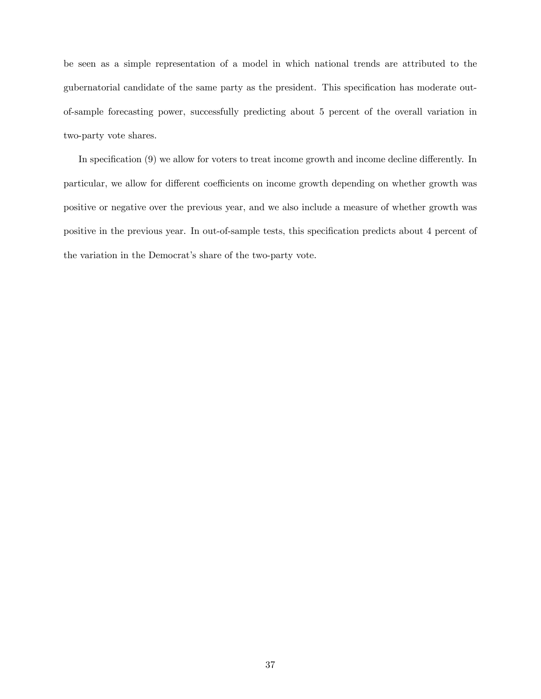be seen as a simple representation of a model in which national trends are attributed to the gubernatorial candidate of the same party as the president. This specification has moderate outof-sample forecasting power, successfully predicting about 5 percent of the overall variation in two-party vote shares.

In specification  $(9)$  we allow for voters to treat income growth and income decline differently. In particular, we allow for different coefficients on income growth depending on whether growth was positive or negative over the previous year, and we also include a measure of whether growth was positive in the previous year. In out-of-sample tests, this specification predicts about 4 percent of the variation in the Democrat's share of the two-party vote.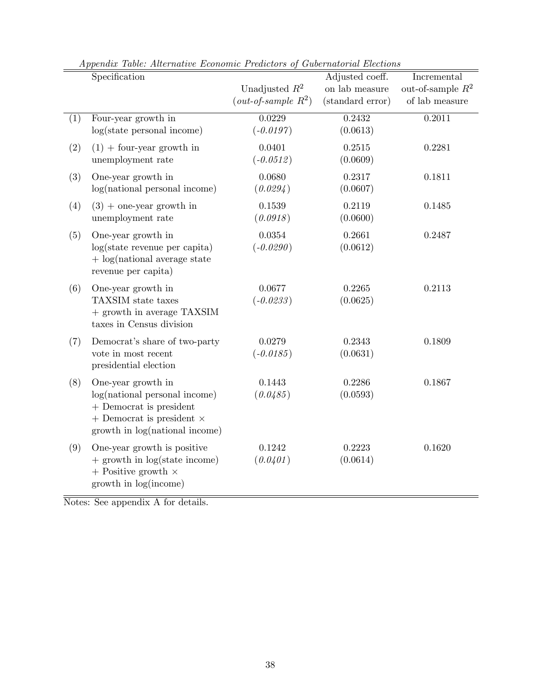|     | Specification                                                                                                                                          | Unadjusted $R^2$<br>$(out-of-sample R2)$ | Adjusted coeff.<br>on lab measure<br>(standard error) | Incremental<br>out-of-sample $\mathbb{R}^2$<br>of lab measure |
|-----|--------------------------------------------------------------------------------------------------------------------------------------------------------|------------------------------------------|-------------------------------------------------------|---------------------------------------------------------------|
| (1) | Four-year growth in<br>log(state personal income)                                                                                                      | 0.0229<br>$(-0.0197)$                    | 0.2432<br>(0.0613)                                    | 0.2011                                                        |
| (2) | $(1)$ + four-year growth in<br>unemployment rate                                                                                                       | 0.0401<br>$(-0.0512)$                    | 0.2515<br>(0.0609)                                    | 0.2281                                                        |
| (3) | One-year growth in<br>$log(national)$ personal income)                                                                                                 | 0.0680<br>(0.0294)                       | 0.2317<br>(0.0607)                                    | 0.1811                                                        |
| (4) | $(3)$ + one-year growth in<br>unemployment rate                                                                                                        | 0.1539<br>(0.0918)                       | 0.2119<br>(0.0600)                                    | 0.1485                                                        |
| (5) | One-year growth in<br>$log(state$ revenue per capita)<br>$+$ log(national average state<br>revenue per capita)                                         | 0.0354<br>$(-0.0290)$                    | 0.2661<br>(0.0612)                                    | 0.2487                                                        |
| (6) | One-year growth in<br>TAXSIM state taxes<br>+ growth in average TAXSIM<br>taxes in Census division                                                     | 0.0677<br>$(-0.0233)$                    | 0.2265<br>(0.0625)                                    | 0.2113                                                        |
| (7) | Democrat's share of two-party<br>vote in most recent<br>presidential election                                                                          | 0.0279<br>$(-0.0185)$                    | 0.2343<br>(0.0631)                                    | 0.1809                                                        |
| (8) | One-year growth in<br>log(national personal income)<br>+ Democrat is president<br>$+$ Democrat is president $\times$<br>growth in log(national income) | 0.1443<br>(0.0485)                       | 0.2286<br>(0.0593)                                    | 0.1867                                                        |
| (9) | One-year growth is positive<br>$+$ growth in log(state income)<br>$+$ Positive growth $\times$<br>growth in log(income)                                | 0.1242<br>(0.0401)                       | 0.2223<br>(0.0614)                                    | 0.1620                                                        |

Appendix Table: Alternative Economic Predictors of Gubernatorial Elections

Notes: See appendix A for details.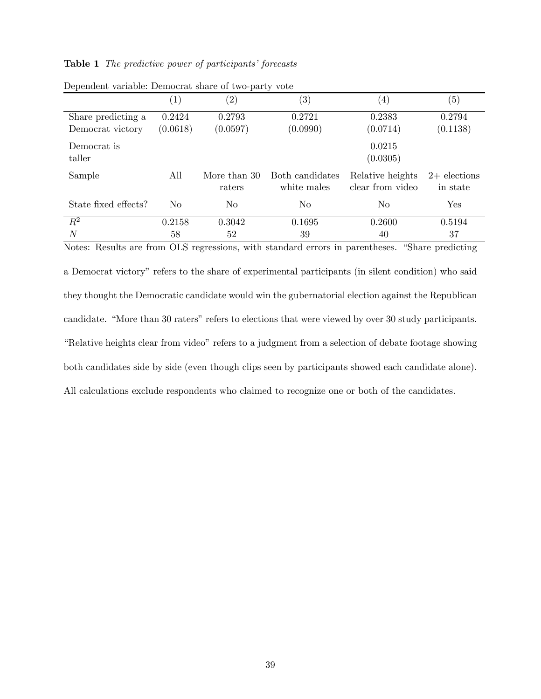## Table 1 The predictive power of participants' forecasts

|                      |                   | л.                |                   |                   |                   |  |  |
|----------------------|-------------------|-------------------|-------------------|-------------------|-------------------|--|--|
|                      | $\left( 1\right)$ | $\left( 2\right)$ | $\left( 3\right)$ | $\left( 4\right)$ | $\left( 5\right)$ |  |  |
| Share predicting a   | 0.2424            | 0.2793            | 0.2721            | 0.2383            | 0.2794            |  |  |
| Democrat victory     | (0.0618)          | (0.0597)          | (0.0990)          | (0.0714)          | (0.1138)          |  |  |
| Democrat is          |                   |                   |                   | 0.0215            |                   |  |  |
| taller               |                   |                   |                   | (0.0305)          |                   |  |  |
| Sample               | All               | More than 30      | Both candidates   | Relative heights  | $2+$ elections    |  |  |
|                      |                   | raters            | white males       | clear from video  | in state          |  |  |
| State fixed effects? | No                | N <sub>0</sub>    | No                | No                | Yes               |  |  |
| $\overline{R^2}$     | 0.2158            | 0.3042            | 0.1695            | 0.2600            | 0.5194            |  |  |
| $\overline{N}$       | 58                | 52                | 39                | 40                | 37                |  |  |

Dependent variable: Democrat share of two-party vote

Notes: Results are from OLS regressions, with standard errors in parentheses. "Share predicting a Democrat victory" refers to the share of experimental participants (in silent condition) who said they thought the Democratic candidate would win the gubernatorial election against the Republican candidate. "More than 30 raters" refers to elections that were viewed by over 30 study participants. ìRelative heights clear from videoîrefers to a judgment from a selection of debate footage showing both candidates side by side (even though clips seen by participants showed each candidate alone). All calculations exclude respondents who claimed to recognize one or both of the candidates.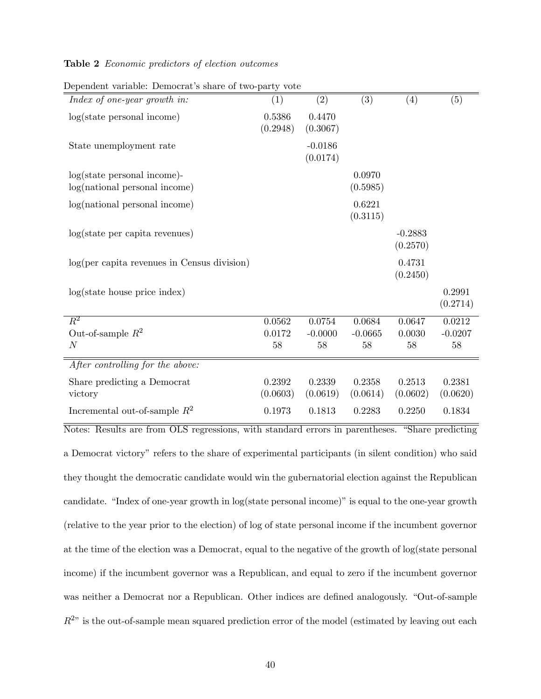## Table 2 Economic predictors of election outcomes

| Dependent variable. Democrat b bliare or two party<br>Index of one-year growth in: | (1)                | (2)                   | (3)                | (4)                   | (5)                |
|------------------------------------------------------------------------------------|--------------------|-----------------------|--------------------|-----------------------|--------------------|
| log(state personal income)                                                         | 0.5386<br>(0.2948) | 0.4470<br>(0.3067)    |                    |                       |                    |
| State unemployment rate                                                            |                    | $-0.0186$<br>(0.0174) |                    |                       |                    |
| $log(state)$ personal income)-<br>log(national personal income)                    |                    |                       | 0.0970<br>(0.5985) |                       |                    |
| log(national personal income)                                                      |                    |                       | 0.6221<br>(0.3115) |                       |                    |
| log(state per capita revenues)                                                     |                    |                       |                    | $-0.2883$<br>(0.2570) |                    |
| $log(per\ capita\ revenues\ in\ Census\ division)$                                 |                    |                       |                    | 0.4731<br>(0.2450)    |                    |
| log(state house price index)                                                       |                    |                       |                    |                       | 0.2991<br>(0.2714) |
| $\overline{R^2}$                                                                   | 0.0562             | 0.0754                | 0.0684             | 0.0647                | 0.0212             |
| Out-of-sample $R^2$                                                                | 0.0172             | $-0.0000$             | $-0.0665$          | 0.0030                | $-0.0207$          |
| $\,N$                                                                              | 58                 | 58                    | 58                 | 58                    | 58                 |
| After controlling for the above:                                                   |                    |                       |                    |                       |                    |
| Share predicting a Democrat<br>victory                                             | 0.2392<br>(0.0603) | 0.2339<br>(0.0619)    | 0.2358<br>(0.0614) | 0.2513<br>(0.0602)    | 0.2381<br>(0.0620) |
| Incremental out-of-sample $R^2$                                                    | 0.1973             | 0.1813                | 0.2283             | 0.2250                | 0.1834             |

Dependent variable: Democrat's share of two-party vote

Notes: Results are from OLS regressions, with standard errors in parentheses. "Share predicting a Democrat victoryî refers to the share of experimental participants (in silent condition) who said they thought the democratic candidate would win the gubernatorial election against the Republican candidate. "Index of one-year growth in log(state personal income)" is equal to the one-year growth (relative to the year prior to the election) of log of state personal income if the incumbent governor at the time of the election was a Democrat, equal to the negative of the growth of log(state personal income) if the incumbent governor was a Republican, and equal to zero if the incumbent governor was neither a Democrat nor a Republican. Other indices are defined analogously. "Out-of-sample  $R^{2n}$  is the out-of-sample mean squared prediction error of the model (estimated by leaving out each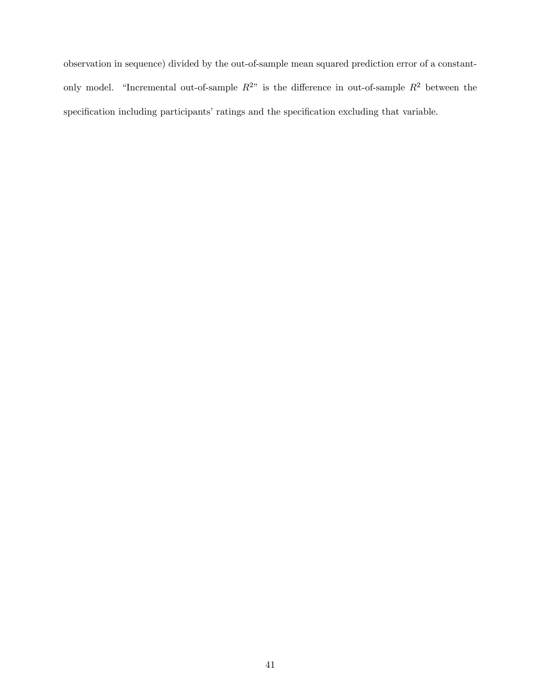observation in sequence) divided by the out-of-sample mean squared prediction error of a constantonly model. "Incremental out-of-sample  $R^{2n}$  is the difference in out-of-sample  $R^2$  between the specification including participants' ratings and the specification excluding that variable.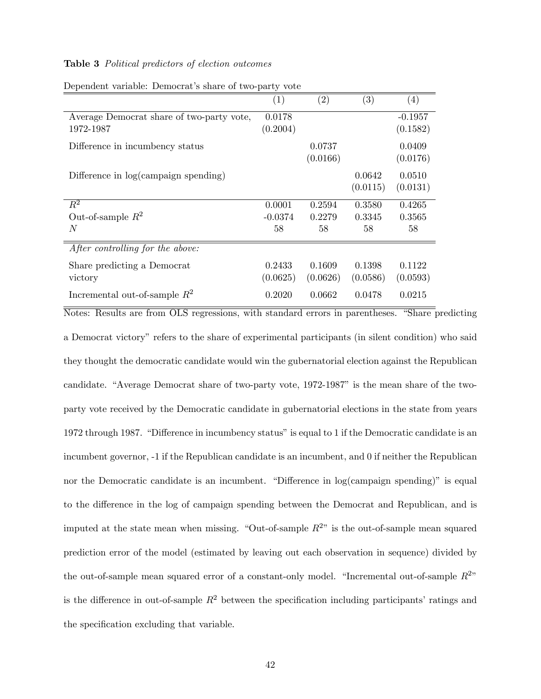## Table 3 Political predictors of election outcomes

|                                           | $\left( 1\right)$ | $\left( 2\right)$ | (3)      | (4)       |
|-------------------------------------------|-------------------|-------------------|----------|-----------|
| Average Democrat share of two-party vote, | 0.0178            |                   |          | $-0.1957$ |
| 1972-1987                                 | (0.2004)          |                   |          | (0.1582)  |
| Difference in incumbency status           |                   | 0.0737            |          | 0.0409    |
|                                           |                   | (0.0166)          |          | (0.0176)  |
| Difference in log(campaign spending)      |                   |                   | 0.0642   | 0.0510    |
|                                           |                   |                   | (0.0115) | (0.0131)  |
| $R^2$                                     | 0.0001            | 0.2594            | 0.3580   | 0.4265    |
| Out-of-sample $R^2$                       | $-0.0374$         | 0.2279            | 0.3345   | 0.3565    |
| N                                         | 58                | 58                | 58       | 58        |
| After controlling for the above:          |                   |                   |          |           |
| Share predicting a Democrat               | 0.2433            | 0.1609            | 0.1398   | 0.1122    |
| victory                                   | (0.0625)          | (0.0626)          | (0.0586) | (0.0593)  |
| Incremental out-of-sample $R^2$           | 0.2020            | 0.0662            | 0.0478   | 0.0215    |

Dependent variable: Democrat's share of two-party vote

Notes: Results are from OLS regressions, with standard errors in parentheses. "Share predicting a Democrat victoryî refers to the share of experimental participants (in silent condition) who said they thought the democratic candidate would win the gubernatorial election against the Republican candidate. "Average Democrat share of two-party vote, 1972-1987" is the mean share of the twoparty vote received by the Democratic candidate in gubernatorial elections in the state from years 1972 through 1987. "Difference in incumbency status" is equal to 1 if the Democratic candidate is an incumbent governor, -1 if the Republican candidate is an incumbent, and 0 if neither the Republican nor the Democratic candidate is an incumbent. "Difference in  $log(canpalign)$  spending)" is equal to the difference in the log of campaign spending between the Democrat and Republican, and is imputed at the state mean when missing. "Out-of-sample  $R^{2n}$  is the out-of-sample mean squared prediction error of the model (estimated by leaving out each observation in sequence) divided by the out-of-sample mean squared error of a constant-only model. "Incremental out-of-sample  $R^{2}$ " is the difference in out-of-sample  $R^2$  between the specification including participants' ratings and the specification excluding that variable.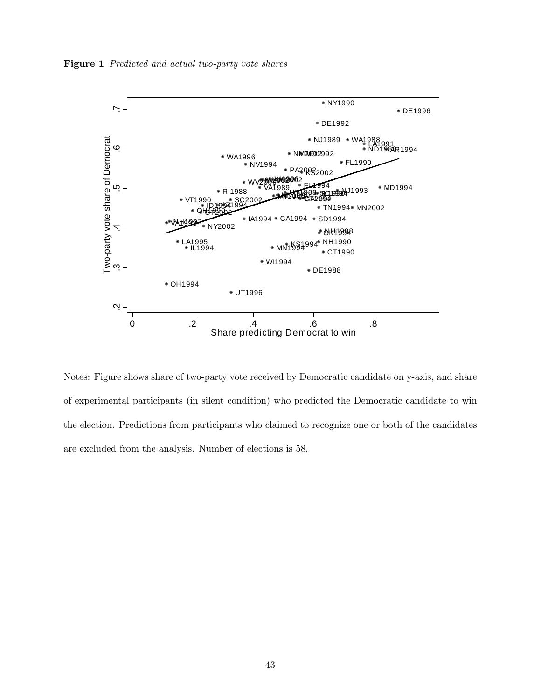Figure 1 Predicted and actual two-party vote shares



Notes: Figure shows share of two-party vote received by Democratic candidate on y-axis, and share of experimental participants (in silent condition) who predicted the Democratic candidate to win the election. Predictions from participants who claimed to recognize one or both of the candidates are excluded from the analysis. Number of elections is 58.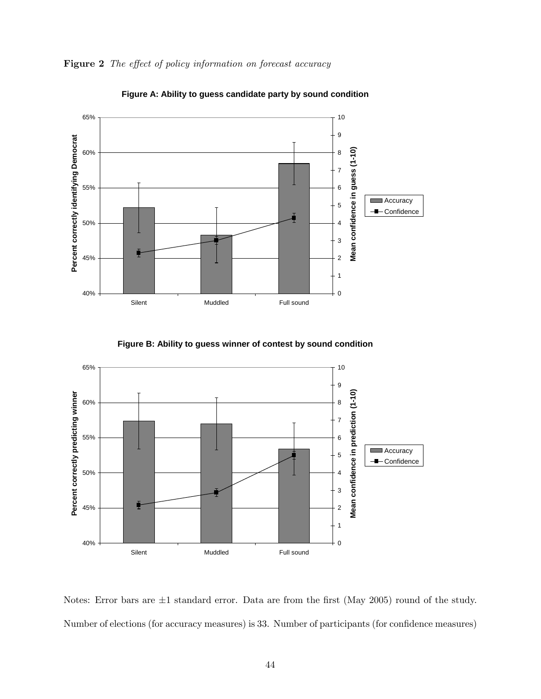



**Figure A: Ability to guess candidate party by sound condition**

**Figure B: Ability to guess winner of contest by sound condition**



Notes: Error bars are  $\pm 1$  standard error. Data are from the first (May 2005) round of the study. Number of elections (for accuracy measures) is 33. Number of participants (for confidence measures)